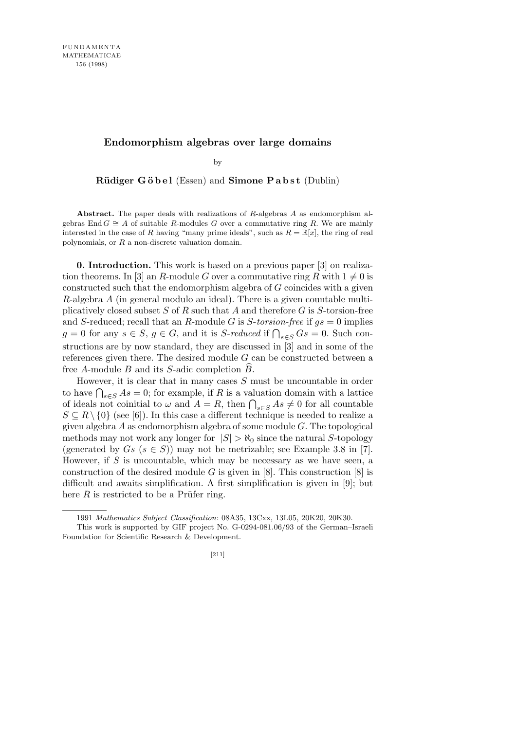## **Endomorphism algebras over large domains**

by

**Rüdiger Göbel** (Essen) and **Simone Pabst** (Dublin)

**Abstract.** The paper deals with realizations of *R*-algebras *A* as endomorphism algebras End *G*  $\cong$  *A* of suitable *R*-modules *G* over a commutative ring *R*. We are mainly interested in the case of *R* having "many prime ideals", such as  $R = \mathbb{R}[x]$ , the ring of real polynomials, or *R* a non-discrete valuation domain.

**0. Introduction.** This work is based on a previous paper [3] on realization theorems. In [3] an *R*-module *G* over a commutative ring *R* with  $1 \neq 0$  is constructed such that the endomorphism algebra of *G* coincides with a given *R*-algebra *A* (in general modulo an ideal). There is a given countable multiplicatively closed subset *S* of *R* such that *A* and therefore *G* is *S*-torsion-free and *S*-reduced; recall that an *R*-module *G* is *S*-*torsion-free* if *gs* = 0 implies *g* = 0 for any  $s \in S$ ,  $g \in G$ , and it is *S*-*reduced* if  $\bigcap_{s \in S} G_s = 0$ . Such constructions are by now standard, they are discussed in [3] and in some of the references given there. The desired module *G* can be constructed between a free *A*-module *B* and its *S*-adic completion *B*b.

However, it is clear that in many cases *S* must be uncountable in order to have  $\bigcap_{s \in S} As = 0$ ; for example, if *R* is a valuation domain with a lattice of ideals not coinitial to  $\omega$  and  $A = R$ , then  $\bigcap_{s \in S} As \neq 0$  for all countable  $S \subseteq R \setminus \{0\}$  (see [6]). In this case a different technique is needed to realize a given algebra *A* as endomorphism algebra of some module *G*. The topological methods may not work any longer for  $|S| > \aleph_0$  since the natural *S*-topology (generated by  $Gs$   $(s \in S)$ ) may not be metrizable; see Example 3.8 in [7]. However, if *S* is uncountable, which may be necessary as we have seen, a construction of the desired module  $G$  is given in [8]. This construction [8] is difficult and awaits simplification. A first simplification is given in [9]; but here  $R$  is restricted to be a Prüfer ring.

<sup>1991</sup> *Mathematics Subject Classification*: 08A35, 13Cxx, 13L05, 20K20, 20K30.

This work is supported by GIF project No. G-0294-081.06/93 of the German–Israeli Foundation for Scientific Research & Development.

<sup>[211]</sup>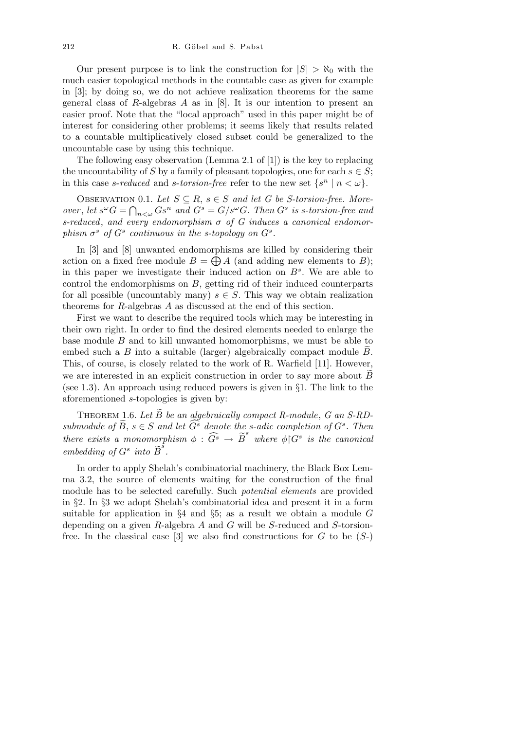Our present purpose is to link the construction for  $|S| > \aleph_0$  with the much easier topological methods in the countable case as given for example in [3]; by doing so, we do not achieve realization theorems for the same general class of *R*-algebras *A* as in [8]. It is our intention to present an easier proof. Note that the "local approach" used in this paper might be of interest for considering other problems; it seems likely that results related to a countable multiplicatively closed subset could be generalized to the uncountable case by using this technique.

The following easy observation (Lemma 2.1 of [1]) is the key to replacing the uncountability of *S* by a family of pleasant topologies, one for each  $s \in S$ ; in this case *s*-*reduced* and *s*-*torsion-free* refer to the new set  $\{s^n \mid n < \omega\}$ .

OBSERVATION 0.1. Let  $S \subseteq R$ ,  $s \in S$  and let G be S-torsion-free. More*over*, let  $s^{\omega}G = \bigcap_{n<\omega} G s^n$  and  $G^s = G/s^{\omega}G$ . Then  $G^s$  is s-torsion-free and *s-reduced*, *and every endomorphism σ of G induces a canonical endomorphism*  $\sigma^s$  *of*  $G^s$  *continuous in the s-topology on*  $G^s$ *.* 

In [3] and [8] unwanted endomorphisms are killed by considering their In [5] and [6] unwanted endomorphisms are kined by considering their<br>action on a fixed free module  $B = \bigoplus A$  (and adding new elements to *B*); in this paper we investigate their induced action on  $B^s$ . We are able to control the endomorphisms on *B*, getting rid of their induced counterparts for all possible (uncountably many)  $s \in S$ . This way we obtain realization theorems for *R*-algebras *A* as discussed at the end of this section.

First we want to describe the required tools which may be interesting in their own right. In order to find the desired elements needed to enlarge the base module *B* and to kill unwanted homomorphisms, we must be able to embed such a  $B$  into a suitable (larger) algebraically compact module  $B$ . This, of course, is closely related to the work of R. Warfield [11]. However, we are interested in an explicit construction in order to say more about *B* (see 1.3). An approach using reduced powers is given in *§*1. The link to the aforementioned *s*-topologies is given by:

THEOREM 1.6. Let  $\widetilde{B}$  be an algebraically compact R-module, G an S-RD*submodule of*  $\widetilde{B}$ ,  $s \in S$  *and let*  $\widetilde{G}^s$  *denote the s-adic completion of*  $G^s$ *. Then there exists a monomorphism*  $\phi : \widehat{G}^s \to \widetilde{B}^s$  where  $\phi | G^s$  is the canonical *embedding of*  $G^s$  *into*  $\widetilde{B}^s$ .

In order to apply Shelah's combinatorial machinery, the Black Box Lemma 3.2, the source of elements waiting for the construction of the final module has to be selected carefully. Such *potential elements* are provided in *§*2. In *§*3 we adopt Shelah's combinatorial idea and present it in a form suitable for application in *§*4 and *§*5; as a result we obtain a module *G* depending on a given *R*-algebra *A* and *G* will be *S*-reduced and *S*-torsionfree. In the classical case  $[3]$  we also find constructions for  $G$  to be  $(S<sub>-</sub>)$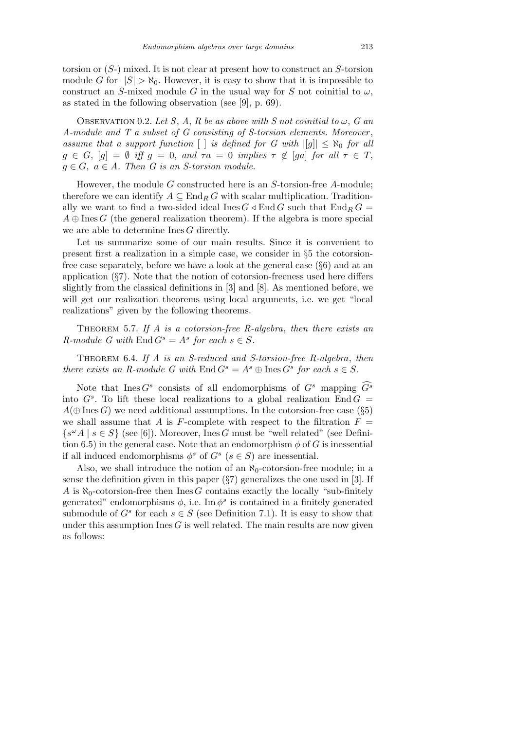torsion or (*S*-) mixed. It is not clear at present how to construct an *S*-torsion module *G* for  $|S| > \aleph_0$ . However, it is easy to show that it is impossible to construct an *S*-mixed module *G* in the usual way for *S* not coinitial to  $\omega$ , as stated in the following observation (see [9], p. 69).

OBSERVATION 0.2. Let S, A, R be as above with S not coinitial to  $\omega$ , G an *A-module and T a subset of G consisting of S-torsion elements. Moreover* , *assume that a support function*  $\vert \cdot \vert$  *is defined for G with*  $\vert \vert g \vert \vert \leq \aleph_0$  *for all*  $g \in G$ ,  $[g] = \emptyset$  *iff*  $g = 0$ , and  $\tau a = 0$  *implies*  $\tau \notin [ga]$  *for all*  $\tau \in T$ ,  $g \in G$ ,  $a \in A$ *. Then G* is an *S*-torsion module.

However, the module *G* constructed here is an *S*-torsion-free *A*-module; therefore we can identify  $A \subseteq \text{End}_B G$  with scalar multiplication. Traditionally we want to find a two-sided ideal Ines  $G \triangleleft \text{End } G$  such that  $\text{End}_R G =$  $A \oplus \text{Ines } G$  (the general realization theorem). If the algebra is more special we are able to determine Ines *G* directly.

Let us summarize some of our main results. Since it is convenient to present first a realization in a simple case, we consider in *§*5 the cotorsionfree case separately, before we have a look at the general case (*§*6) and at an application (*§*7). Note that the notion of cotorsion-freeness used here differs slightly from the classical definitions in [3] and [8]. As mentioned before, we will get our realization theorems using local arguments, i.e. we get "local realizations" given by the following theorems.

Theorem 5.7. *If A is a cotorsion-free R-algebra*, *then there exists an R*-module *G* with  $\text{End } G^s = A^s$  for each  $s \in S$ .

Theorem 6.4. *If A is an S-reduced and S-torsion-free R-algebra*, *then there exists an R-module G with*  $\text{End } G^s = A^s \oplus \text{Ines } G^s$  *for each*  $s \in S$ *.* 

Note that Ines  $G^s$  consists of all endomorphisms of  $G^s$  mapping  $\widehat{G^s}$ into  $G^s$ . To lift these local realizations to a global realization End  $G =$  $A(\oplus \text{Ines } G)$  we need additional assumptions. In the cotorsion-free case ( $\S5$ ) we shall assume that *A* is *F*-complete with respect to the filtration  $F =$  $\{s^{\omega}A \mid s \in S\}$  (see [6]). Moreover, Ines *G* must be "well related" (see Definition 6.5) in the general case. Note that an endomorphism  $\phi$  of *G* is inessential if all induced endomorphisms  $\phi^s$  of  $G^s$  ( $s \in S$ ) are inessential.

Also, we shall introduce the notion of an  $\aleph_0$ -cotorsion-free module; in a sense the definition given in this paper (*§*7) generalizes the one used in [3]. If *A* is  $\aleph_0$ -cotorsion-free then Ines *G* contains exactly the locally "sub-finitely" generated" endomorphisms  $\phi$ , i.e. Im  $\phi^s$  is contained in a finitely generated submodule of  $G^s$  for each  $s \in S$  (see Definition 7.1). It is easy to show that under this assumption  $\text{Ines } G$  is well related. The main results are now given as follows: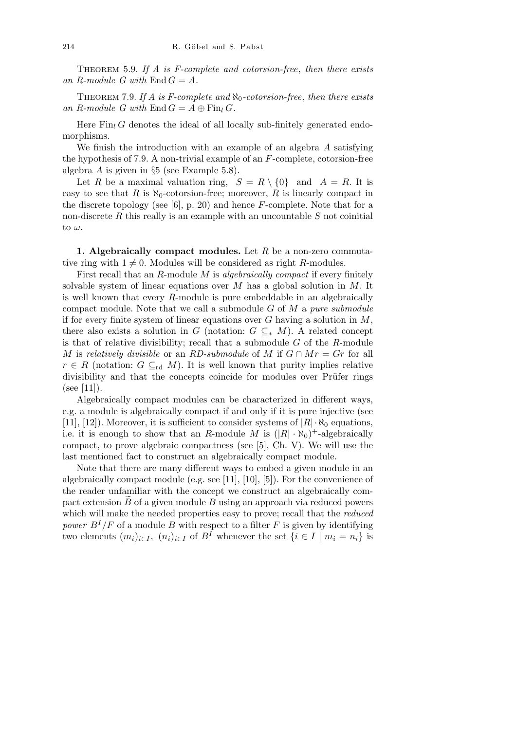Theorem 5.9. *If A is F-complete and cotorsion-free*, *then there exists* an  $R$ -module  $G$  with  $\text{End } G = A$ .

Theorem 7.9. *If A is F-complete and ℵ*0*-cotorsion-free*, *then there exists* an R-module G with  $\text{End } G = A \oplus \text{Fin}_l G$ .

Here  $\text{Fin}_l G$  denotes the ideal of all locally sub-finitely generated endomorphisms.

We finish the introduction with an example of an algebra *A* satisfying the hypothesis of 7.9. A non-trivial example of an *F*-complete, cotorsion-free algebra *A* is given in *§*5 (see Example 5.8).

Let *R* be a maximal valuation ring,  $S = R \setminus \{0\}$  and  $A = R$ . It is easy to see that *R* is  $\aleph_0$ -cotorsion-free; moreover, *R* is linearly compact in the discrete topology (see [6], p. 20) and hence *F*-complete. Note that for a non-discrete *R* this really is an example with an uncountable *S* not coinitial to *ω*.

**1. Algebraically compact modules.** Let *R* be a non-zero commutative ring with  $1 \neq 0$ . Modules will be considered as right *R*-modules.

First recall that an *R*-module *M* is *algebraically compact* if every finitely solvable system of linear equations over *M* has a global solution in *M*. It is well known that every *R*-module is pure embeddable in an algebraically compact module. Note that we call a submodule *G* of *M* a *pure submodule* if for every finite system of linear equations over *G* having a solution in *M*, there also exists a solution in *G* (notation:  $G \subseteq K M$ ). A related concept is that of relative divisibility; recall that a submodule *G* of the *R*-module *M* is *relatively divisible* or an *RD-submodule* of *M* if  $G \cap Mr = Gr$  for all  $r \in R$  (notation:  $G \subseteq_{\text{rd}} M$ ). It is well known that purity implies relative divisibility and that the concepts coincide for modules over Prüfer rings  $(see [11]).$ 

Algebraically compact modules can be characterized in different ways, e.g. a module is algebraically compact if and only if it is pure injective (see [11], [12]). Moreover, it is sufficient to consider systems of  $|R| \cdot \aleph_0$  equations, i.e. it is enough to show that an *R*-module *M* is  $(|R| \cdot \aleph_0)^+$ -algebraically compact, to prove algebraic compactness (see [5], Ch. V). We will use the last mentioned fact to construct an algebraically compact module.

Note that there are many different ways to embed a given module in an algebraically compact module (e.g. see [11], [10], [5]). For the convenience of the reader unfamiliar with the concept we construct an algebraically compact extension  $\overline{B}$  of a given module  $B$  using an approach via reduced powers which will make the needed properties easy to prove; recall that the *reduced power*  $B^I/F$  of a module *B* with respect to a filter *F* is given by identifying two elements  $(m_i)_{i\in I}$ ,  $(n_i)_{i\in I}$  of  $B^I$  whenever the set  $\{i\in I \mid m_i = n_i\}$  is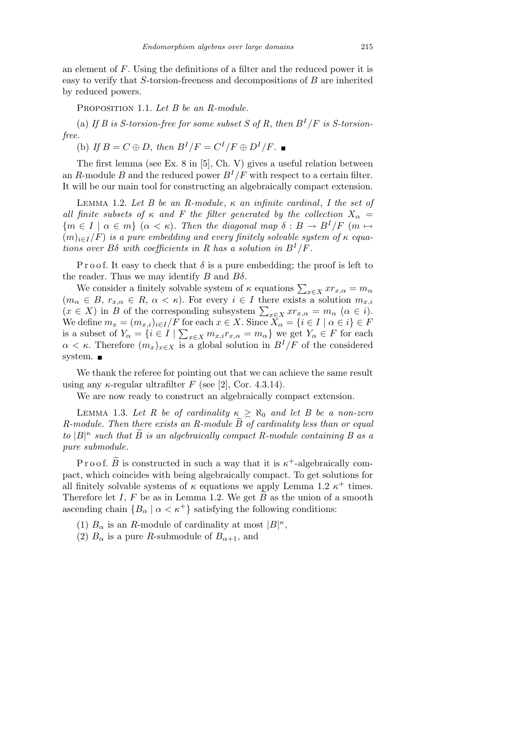an element of *F*. Using the definitions of a filter and the reduced power it is easy to verify that *S*-torsion-freeness and decompositions of *B* are inherited by reduced powers.

Proposition 1.1. *Let B be an R-module.*

(a) If *B* is *S*-torsion-free for some subset *S* of *R*, then  $B^I/F$  is *S*-torsion*free.*

(b) If  $B = C \oplus D$ , then  $B^{I}/F = C^{I}/F \oplus D^{I}/F$ .

The first lemma (see Ex. 8 in [5], Ch. V) gives a useful relation between an *R*-module *B* and the reduced power  $B^{I}/F$  with respect to a certain filter. It will be our main tool for constructing an algebraically compact extension.

Lemma 1.2. *Let B be an R-module*, *κ an infinite cardinal*, *I the set of all finite subsets of*  $\kappa$  *and*  $F$  *the filter generated by the collection*  $X_{\alpha}$  =  ${m \in I \mid \alpha \in m}$  ( $\alpha < \kappa$ )*. Then the diagonal map*  $\delta : B \to B^I/F$  ( $m \mapsto$  $(m)_{i \in I}/F$  *is a pure embedding and every finitely solvable system of*  $\kappa$  *equations over*  $B\delta$  *with coefficients in* R has a solution in  $B^I/F$ .

P r o o f. It easy to check that  $\delta$  is a pure embedding; the proof is left to the reader. Thus we may identify *B* and *Bδ*.

We consider a finitely solvable system of  $\kappa$  equations  $\sum_{x \in X} x r_{x,\alpha} = m_\alpha$  $(m_{\alpha} \in B, r_{x,\alpha} \in R, \alpha < \kappa)$ . For every  $i \in I$  there exists a solution  $m_{x,i}$  $(m_{\alpha} \in B, r_{x,\alpha} \in R, \alpha \leq \kappa)$ . For every  $i \in I$  there exists a solution  $m_{x,i}$ <br> $(x \in X)$  in *B* of the corresponding subsystem  $\sum_{x \in X} x r_{x,\alpha} = m_{\alpha} \ (\alpha \in i)$ . We define  $m_x = (m_{x,i})_{i \in I}/F$  for each  $x \in X$ . Since  $X_\alpha = \{i \in I \mid \alpha \in i\} \in F$ is a subset of  $Y_\alpha = \{i \in I \mid \sum_{x \in X} m_{x,i} r_{x,\alpha} = m_\alpha\}$  we get  $Y_\alpha \in F$  for each  $\alpha < \kappa$ . Therefore  $(m_x)_{x \in X}$  is a global solution in  $B^I/F$  of the considered system. ■

We thank the referee for pointing out that we can achieve the same result using any  $\kappa$ -regular ultrafilter *F* (see [2], Cor. 4.3.14).

We are now ready to construct an algebraically compact extension.

LEMMA 1.3. Let R be of cardinality  $\kappa \geq \aleph_0$  and let B be a non-zero *R-module. Then there exists an R-module B of cardinality less than or equal to*  $|B|^{\kappa}$  such that  $\widetilde{B}$  is an algebraically compact R-module containing B as a *pure submodule.*

P r o o f.  $\widetilde{B}$  is constructed in such a way that it is  $\kappa^+$ -algebraically compact, which coincides with being algebraically compact. To get solutions for all finitely solvable systems of  $\kappa$  equations we apply Lemma 1.2  $\kappa^+$  times. Therefore let *I*, *F* be as in Lemma 1.2. We get  $\widetilde{B}$  as the union of a smooth ascending chain  ${B_\alpha \mid \alpha < \kappa^+}$  satisfying the following conditions:

(1)  $B_{\alpha}$  is an *R*-module of cardinality at most  $|B|^{\kappa}$ ,

(2)  $B_{\alpha}$  is a pure *R*-submodule of  $B_{\alpha+1}$ , and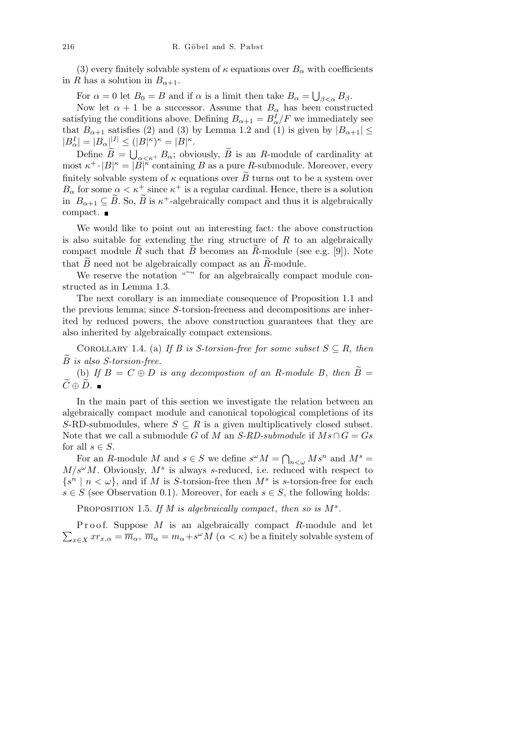(3) every finitely solvable system of  $\kappa$  equations over  $B_{\alpha}$  with coefficients in *R* has a solution in  $B_{\alpha+1}$ .

For  $\alpha = 0$  let  $B_0 = B$  and if  $\alpha$  is a limit then take  $B_\alpha =$ S *β<α Bβ*.

Now let  $\alpha + 1$  be a successor. Assume that  $B_{\alpha}$  has been constructed satisfying the conditions above. Defining  $B_{\alpha+1} = B_{\alpha}^I/F$  we immediately see that  $B_{\alpha+1}$  satisfies (2) and (3) by Lemma 1.2 and (1) is given by  $|B_{\alpha+1}| \leq$  $|B_{\alpha}^I| = |B_{\alpha}|^{|I|} \le (|B|^{\kappa})^{\kappa} = |B|^{\kappa}.$ <br> $\sum_{i=1}^{\infty}$ 

Define  $\widetilde{B} = \bigcup_{\alpha < \kappa^+} B_\alpha$ ; obviously,  $\widetilde{B}$  is an *R*-module of cardinality at most  $\kappa^+ \cdot |B|^\kappa = |B|^\kappa$  containing *B* as a pure *R*-submodule. Moreover, every finitely solvable system of  $\kappa$  equations over  $\widetilde{B}$  turns out to be a system over  $B_{\alpha}$  for some  $\alpha < \kappa^+$  since  $\kappa^+$  is a regular cardinal. Hence, there is a solution in  $B_{\alpha+1} \subseteq \widetilde{B}$ . So,  $\widetilde{B}$  is  $\kappa^+$ -algebraically compact and thus it is algebraically compact.

We would like to point out an interesting fact: the above construction is also suitable for extending the ring structure of *R* to an algebraically compact module  $\hat{R}$  such that  $\hat{B}$  becomes an  $\hat{R}$ -module (see e.g. [9]). Note that  $\widetilde{B}$  need not be algebraically compact as an  $\widetilde{R}$ -module.

We reserve the notation  $\mathbb{R}^n$  for an algebraically compact module constructed as in Lemma 1.3.

The next corollary is an immediate consequence of Proposition 1.1 and the previous lemma; since *S*-torsion-freeness and decompositions are inherited by reduced powers, the above construction guarantees that they are also inherited by algebraically compact extensions.

COROLLARY 1.4. (a) If B is S-torsion-free for some subset  $S \subseteq R$ , then *B*e *is also S-torsion-free.*

(b) If  $B = C \oplus D$  *is any decompostion of an R-module B, then*  $\widetilde{B} =$  $\widetilde{C} ⊕ \widetilde{D}$ . ■

In the main part of this section we investigate the relation between an algebraically compact module and canonical topological completions of its *S*-RD-submodules, where  $S \subseteq R$  is a given multiplicatively closed subset. Note that we call a submodule *G* of *M* an *S-RD-submodule* if  $Ms \cap G = Gs$ for all  $s \in S$ .

For an *R*-module *M* and  $s \in S$  we define  $s^{\omega}M = \bigcap_{n \leq \omega} M s^n$  and  $M^s =$  $M/s^{\omega}M$ . Obviously,  $M^s$  is always *s*-reduced, i.e. reduced with respect to  $\{s^n \mid n < \omega\}$ , and if *M* is *S*-torsion-free then  $M^s$  is *s*-torsion-free for each *s*  $∈$  *S* (see Observation 0.1). Moreover, for each  $s ∈ S$ , the following holds:

PROPOSITION 1.5. If  $M$  is algebraically compact, then so is  $M^s$ .

 $\overline{ }$ Proof. Suppose *M* is an algebraically compact *R*-module and let  $x \in X$  *xr*<sub>*x*</sub>, $\alpha = \overline{m}_{\alpha}$ ,  $\overline{m}_{\alpha} = m_{\alpha} + s^{\omega}M$  ( $\alpha < \kappa$ ) be a finitely solvable system of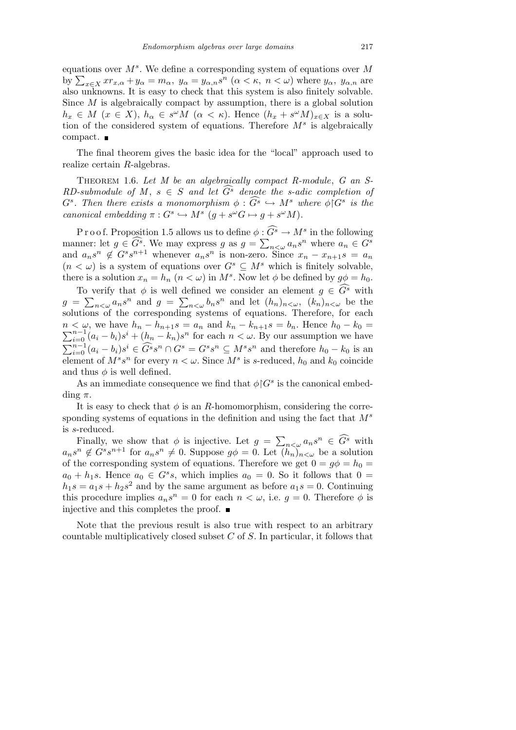equations over *M<sup>s</sup>* . We define a corresponding system of equations over *M* by  $\sum_{x \in X} x r_{x,\alpha} + y_\alpha = m_\alpha$ ,  $y_\alpha = y_{\alpha,n} s^n$  ( $\alpha < \kappa$ ,  $n < \omega$ ) where  $y_\alpha$ ,  $y_{\alpha,n}$  are also unknowns. It is easy to check that this system is also finitely solvable. Since *M* is algebraically compact by assumption, there is a global solution  $h_x \in M$  ( $x \in X$ ),  $h_\alpha \in s^\omega M$  ( $\alpha < \kappa$ ). Hence  $(h_x + s^\omega M)_{x \in X}$  is a solution of the considered system of equations. Therefore *M<sup>s</sup>* is algebraically compact.

The final theorem gives the basic idea for the "local" approach used to realize certain *R*-algebras.

Theorem 1.6. *Let M be an algebraically compact R-module*, *G an S-RD-submodule of M*,  $s \in S$  *and let*  $G^s$  *denote the s-adic completion of*  $G^s$ *. Then there exists a monomorphism*  $\phi : \widehat{G^s} \hookrightarrow M^s$  *where*  $\phi \circ G^s$  *is the canonical embedding*  $\pi: G^s \hookrightarrow M^s$   $(g + s^{\omega}G \mapsto g + s^{\omega}M)$ .

P r o o f. Proposition 1.5 allows us to define  $\phi : \widehat{G}^s \to M^s$  in the following manner: let  $g \in \widehat{G}^s$ . We may express  $g$  as  $g =$  $\ddot{=}$  $a_n \in G^s$  where  $a_n \in G^s$ and  $a_n s^n \notin G^s s^{n+1}$  whenever  $a_n s^n$  is non-zero. Since  $x_n - x_{n+1} s = a_n$  $(n < \omega)$  is a system of equations over  $G^s \subseteq M^s$  which is finitely solvable, there is a solution  $x_n = h_n$   $(n < \omega)$  in  $M^s$ . Now let  $\phi$  be defined by  $g\phi = h_0$ .

To verify that  $\phi$  is well defined we consider an element  $g \in \widehat{G}^s$  with  $g = \sum_{n < \omega} a_n s^n$  and  $g = \sum_{n < \omega} b_n s^n$  and let  $(h_n)_{n < \omega}$ ,  $(k_n)_{n < \omega}$  be the solutions of the corresponding systems of equations. Therefore, for each  $n < \omega$ , we have  $h_n - h_{n+1} s = a_n$  and  $k_n - k_{n+1} s = b_n$ . Hence  $h_0 - k_0 = \sum_{n=1}^{n} k_n$  $\sum_{i=0}^{n-1} (a_i - b_i) s^i + (h_n - k_n) s^n$  for each  $n < \omega$ . By our assumption we have P*n−*<sup>1</sup>  $\sum_{i=0}^{n-1} (a_i - b_i)s^i \in \widehat{G}^s s^n \cap G^s = G^s s^n \subseteq M^s s^n$  and therefore  $h_0 - k_0$  is an element of  $M^s s^n$  for every  $n < \omega$ . Since  $M^s$  is *s*-reduced,  $h_0$  and  $k_0$  coincide and thus  $\phi$  is well defined.

As an immediate consequence we find that  $\phi$ <sup> $\vert G^s$ </sup> is the canonical embedding *π*.

It is easy to check that  $\phi$  is an *R*-homomorphism, considering the corresponding systems of equations in the definition and using the fact that *M<sup>s</sup>* is *s*-reduced.  $\overline{ }$ 

Finally, we show that  $\phi$  is injective. Let  $g =$  $n < \omega$   $a_n s^n \in \widehat{G}^s$  with  $a_n s^n \notin G^s s^{n+1}$  for  $a_n s^n \neq 0$ . Suppose  $g\phi = 0$ . Let  $(h_n)_{n<\omega}$  be a solution of the corresponding system of equations. Therefore we get  $0 = q\phi = h_0 =$  $a_0 + h_1s$ . Hence  $a_0 \in G^s s$ , which implies  $a_0 = 0$ . So it follows that  $0 =$  $h_1s = a_1s + h_2s^2$  and by the same argument as before  $a_1s = 0$ . Continuing this procedure implies  $a_n s^n = 0$  for each  $n < \omega$ , i.e.  $g = 0$ . Therefore  $\phi$  is injective and this completes the proof.  $\blacksquare$ 

Note that the previous result is also true with respect to an arbitrary countable multiplicatively closed subset *C* of *S*. In particular, it follows that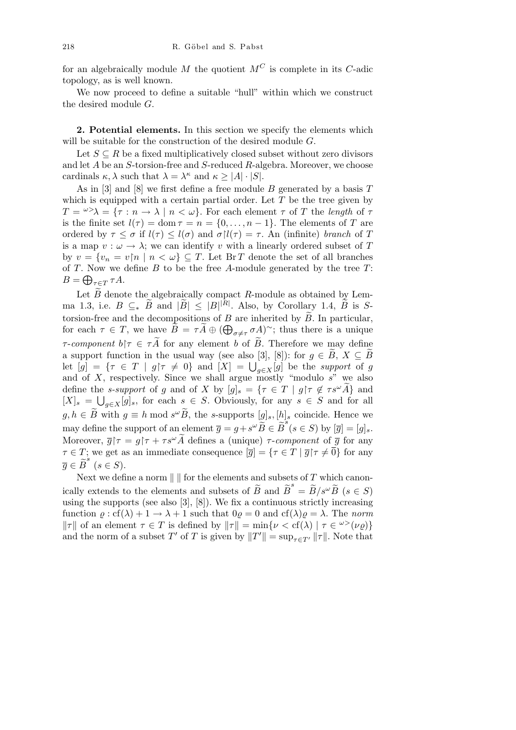for an algebraically module *M* the quotient  $M^C$  is complete in its *C*-adic topology, as is well known.

We now proceed to define a suitable "hull" within which we construct the desired module *G*.

**2. Potential elements.** In this section we specify the elements which will be suitable for the construction of the desired module *G*.

Let  $S \subseteq R$  be a fixed multiplicatively closed subset without zero divisors and let *A* be an *S*-torsion-free and *S*-reduced *R*-algebra. Moreover, we choose cardinals  $\kappa, \lambda$  such that  $\lambda = \lambda^{\kappa}$  and  $\kappa \geq |A| \cdot |S|$ .

As in [3] and [8] we first define a free module *B* generated by a basis *T* which is equipped with a certain partial order. Let *T* be the tree given by  $T = \frac{\omega}{\lambda} = \{ \tau : n \to \lambda \mid n < \omega \}.$  For each element  $\tau$  of *T* the *length* of  $\tau$ is the finite set  $l(\tau) = \text{dom } \tau = n = \{0, \ldots, n-1\}$ . The elements of *T* are ordered by  $\tau \leq \sigma$  if  $l(\tau) \leq l(\sigma)$  and  $\sigma \upharpoonright l(\tau) = \tau$ . An (infinite) *branch* of *T* is a map  $v : \omega \to \lambda$ ; we can identify *v* with a linearly ordered subset of *T* by  $v = \{v_n = v | n \mid n < \omega\} \subseteq T$ . Let Br *T* denote the set of all branches of *T*. Now we define *B* to be the free *A*-module generated by the tree *T*: L  $B = \bigoplus_{\tau \in T} \tau A$ .

Let  $\widetilde{B}$  denote the algebraically compact *R*-module as obtained by Lemma 1.3, i.e.  $B \subseteq K$  *B* and  $|\widetilde{B}| \leq |B|^{|\widetilde{R}|}$ . Also, by Corollary 1.4,  $\widetilde{B}$  is *S*torsion-free and the decompositions of *B* are inherited by  $\widetilde{B}$ . In particular, for each  $\tau \in T$ , we have  $\tilde{B} = \tau \tilde{A} \oplus (\bigoplus_{\sigma \neq \tau} \sigma A)^{\sim}$ ; thus there is a unique *τ*-*component*  $b \upharpoonright \tau \in \tau A$  for any element *b* of *B*. Therefore we may define a support function in the usual way (see also [3], [8]): for  $g \in \widetilde{B}$ ,  $X \subseteq \widetilde{B}$ a support function in the usual way (see also [5], [6]): for  $g \in D$ ,  $A \subseteq D$ <br>let  $[g] = \{ \tau \in T \mid g | \tau \neq 0 \}$  and  $[X] = \bigcup_{g \in X}[g]$  be the *support* of *g* and of *X*, respectively. Since we shall argue mostly "modulo *s*" we also define the *s*-support of *g* and of *X* by  $[g]_s = \{ \tau \in T \mid g | \tau \notin \tau s^{\omega} \tilde{A} \}$  and  $[X]_s = \bigcup_{g \in X} [g]_s$ , for each  $s \in S$ . Obviously, for any  $s \in S$  and for all  $g, h \in \widetilde{B}$  with  $g \equiv h \mod s^\omega \widetilde{B}$ , the *s*-supports  $[g]_s, [h]_s$  coincide. Hence we may define the support of an element  $\overline{g} = g + s^{\omega} \overline{B} \in \overline{B}^s$  ( $s \in S$ ) by  $[\overline{g}] = [g]_s$ . Moreover,  $\overline{g}$  $\uparrow \tau = g \uparrow \tau + \tau s^{\omega} \widetilde{A}$  defines a (unique)  $\tau$ -*component* of  $\overline{g}$  for any *τ*  $\in$  *T*; we get as an immediate consequence  $\overline{g}$  =  $\{\tau \in T \mid \overline{g} | \tau \neq \overline{0}\}$  for any  $\overline{g} \in \widetilde{B}^s \ (s \in S).$ 

Next we define a norm  $\| \cdot \|$  for the elements and subsets of  $T$  which canonically extends to the elements and subsets of  $\tilde{B}$  and  $\tilde{B}^s = \tilde{B}/s^\omega \tilde{B}$  ( $s \in S$ ) using the supports (see also  $[3]$ ,  $[8]$ ). We fix a continuous strictly increasing function  $\varrho$ : cf( $\lambda$ ) + 1  $\rightarrow \lambda$  + 1 such that  $0\varrho = 0$  and cf( $\lambda$ ) $\varrho = \lambda$ . The *norm k*  $\Vert \tau \Vert$  of an element  $\tau \in T$  is defined by  $\Vert \tau \Vert = \min \{ \nu < \text{cf}(\lambda) \mid \tau \in \mathcal{L}(\nu_\ell) \}$ and the norm of a subset  $T'$  of  $T$  is given by  $||T'|| = \sup_{\tau \in T'} ||\tau||$ . Note that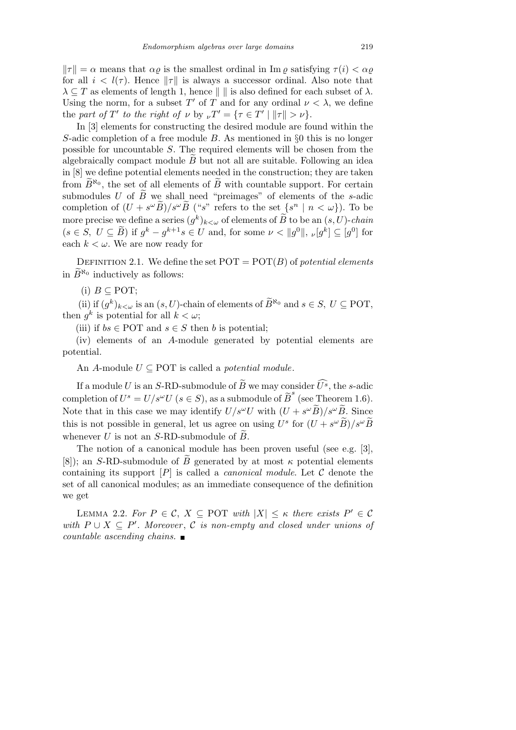$\|\tau\| = \alpha$  means that  $\alpha \rho$  is the smallest ordinal in Im  $\rho$  satisfying  $\tau(i) < \alpha \rho$ for all  $i < l(\tau)$ . Hence  $\|\tau\|$  is always a successor ordinal. Also note that  $\lambda \subseteq T$  as elements of length 1, hence  $\|\cdot\|$  is also defined for each subset of  $\lambda$ . Using the norm, for a subset  $T'$  of  $T$  and for any ordinal  $\nu < \lambda$ , we define the *part of*  $T'$  *to the right of*  $\nu$  by  $\nu T' = {\tau \in T' \mid ||\tau|| > \nu}.$ 

In [3] elements for constructing the desired module are found within the *S*-adic completion of a free module *B*. As mentioned in *§*0 this is no longer possible for uncountable *S*. The required elements will be chosen from the algebraically compact module  $\overline{B}$  but not all are suitable. Following an idea in [8] we define potential elements needed in the construction; they are taken from  $\widetilde{B}^{\aleph_0}$ , the set of all elements of  $\widetilde{B}$  with countable support. For certain submodules *U* of  $\tilde{B}$  we shall need "preimages" of elements of the *s*-adic completion of  $(U + s^{\omega} \widetilde{B})/s^{\omega} \widetilde{B}$  ("*s*" refers to the set  $\{s^n \mid n < \omega\}$ ). To be more precise we define a series  $(g^k)_{k<\omega}$  of elements of  $\widetilde{B}$  to be an  $(s,U)$ -*chain*  $(s \in S, U \subseteq \tilde{B})$  if  $g^k - g^{k+1}s \in U$  and, for some  $\nu < ||g^0||, \nu[g^k] \subseteq [g^0]$  for each  $k < \omega$ . We are now ready for

DEFINITION 2.1. We define the set  $POT = POT(B)$  of *potential elements* in  $\widetilde{B}^{\aleph_0}$  inductively as follows:

(i)  $B$  ⊂ POT:

(ii) if  $(g^k)_{k < \omega}$  is an  $(s, U)$ -chain of elements of  $\widetilde{B}^{\aleph_0}$  and  $s \in S$ ,  $U \subseteq$  POT, then  $g^k$  is potential for all  $k < \omega$ ;

(iii) if  $bs \in \text{POT}$  and  $s \in S$  then *b* is potential:

(iv) elements of an *A*-module generated by potential elements are potential.

An *A*-module  $U \subseteq$  POT is called a *potential module*.

If a module *U* is an *S*-RD-submodule of  $\widetilde{B}$  we may consider  $\widehat{U^s}$ , the *s*-adic completion of  $U^s = U/s^\omega U$  ( $s \in S$ ), as a submodule of  $\widetilde{B}^s$  (see Theorem 1.6). Note that in this case we may identify  $U/s^{\omega}U$  with  $(U + s^{\omega}\widetilde{B})/s^{\omega}\widetilde{B}$ . Since this is not possible in general, let us agree on using  $U^s$  for  $(U + s^{\omega} \widetilde{B})/s^{\omega} \widetilde{B}$ whenever *U* is not an *S*-RD-submodule of  $\widetilde{B}$ .

The notion of a canonical module has been proven useful (see e.g. [3], [8]); an *S*-RD-submodule of  $\tilde{B}$  generated by at most  $\kappa$  potential elements containing its support  $[P]$  is called a *canonical module*. Let  $C$  denote the set of all canonical modules; as an immediate consequence of the definition we get

LEMMA 2.2. *For*  $P \in \mathcal{C}$ ,  $X \subseteq \text{POT}$  *with*  $|X| \leq \kappa$  *there exists*  $P' \in \mathcal{C}$ *with*  $P ∪ X ⊆ P'$ . Moreover,  $C$  *is non-empty and closed under unions of countable ascending chains.*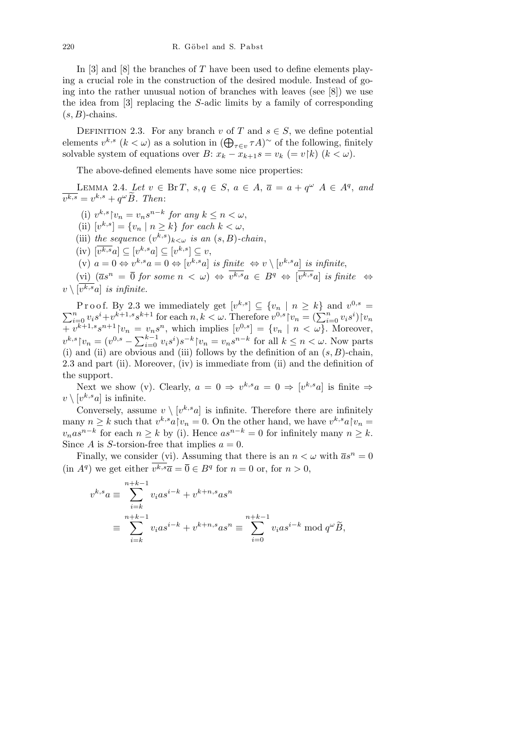In [3] and [8] the branches of *T* have been used to define elements playing a crucial role in the construction of the desired module. Instead of going into the rather unusual notion of branches with leaves (see [8]) we use the idea from [3] replacing the *S*-adic limits by a family of corresponding  $(s, B)$ -chains.

DEFINITION 2.3. For any branch *v* of *T* and  $s \in S$ , we define potential DEFINITION 2.5. For any pranch *v* of *I* and *s* ∈ *S*, we define potential elements *v*<sup>*k*</sup>, *s* (*k* ⊂ *ω*) as a solution in  $(\bigoplus_{\tau \in v} \tau A)$ <sup>∼</sup> of the following, finitely solvable system of equations over *B*:  $x_k - x_{k+1} s = v_k (= v \upharpoonright k)$  ( $k < \omega$ ).

The above-defined elements have some nice properties:

LEMMA 2.4. Let  $v \in \text{Br } T$ ,  $s, q \in S$ ,  $a \in A$ ,  $\overline{a} = a + q^{\omega}$   $A \in A^{q}$ , and  $\overline{v^{k,s}} = v^{k,s} + q^{\omega} \widetilde{B}$ *. Then*:

(i)  $v^{k,s} \mid v_n = v_n s^{n-k}$  for any  $k \leq n < \omega$ ,

- (ii)  $[v^{k,s}] = \{v_n \mid n \geq k\}$  for each  $k < \omega$ ,
- (iii) *the sequence*  $(v^{k,s})_{k<\omega}$  *is an*  $(s, B)$ *-chain*,

 $\left[\overline{v^{k,s}}a\right] \subseteq \left[v^{k,s}a\right] \subseteq \left[v^{k,s}\right] \subseteq v,$ 

(v)  $a = 0 \Leftrightarrow v^{k,s}a = 0 \Leftrightarrow [v^{k,s}a]$  *is finite*  $\Leftrightarrow v \setminus [v^{k,s}a]$  *is infinite*,

 $(vi)$   $(\overline{a}s^n = \overline{0}$  *for some*  $n < \omega) \Leftrightarrow \overline{v^{k,s}}a \in B^q \Leftrightarrow [\overline{v^{k,s}}a]$  *is finite*  $\Leftrightarrow$  $v \setminus [v^{k,s}a]$  *is infinite.* 

Proof. By 2.3 we immediately get  $[v^{k,s}] \subseteq \{v_n \mid n \ge k\}$  and  $v^{0,s} = \sum_{i=0}^n v_i s^i + v^{k+1,s} s^{k+1}$  for each  $n, k < \omega$ . Therefore  $v^{0,s} | v_n = (\sum_{i=0}^n v_i s^i) | v_n$  $+v^{k+1,s}s^{n+1}\nu_n = v_ns^n$ , which implies  $[v^{0,s}] = \{v_n \mid n < \omega\}$ . Moreover,  $v^{k,s}$ <sup>*v*</sup> $v_n = (v^{0,s} - \sum_{i=0}^{k-1}$  $\int_{i=0}^{k-1} v_i s^i$  *j*s<sup>−*k*</sup>  $\int v_n = v_n s^{n-k}$  for all *k* ≤ *n* < *ω*. Now parts (i) and (ii) are obvious and (iii) follows by the definition of an  $(s, B)$ -chain, 2.3 and part (ii). Moreover, (iv) is immediate from (ii) and the definition of the support.

Next we show (v). Clearly,  $a = 0 \Rightarrow v^{k,s}a = 0 \Rightarrow [v^{k,s}a]$  is finite  $\Rightarrow$  $v \setminus [v^{k,s}a]$  is infinite.

Conversely, assume  $v \setminus [v^{k,s}a]$  is infinite. Therefore there are infinitely many  $n \geq k$  such that  $v^{k,s}a$  $\upharpoonright v_n = 0$ . On the other hand, we have  $v^{k,s}a$  $\upharpoonright v_n =$ *v*<sub>*n*</sub>*as*<sup>*n*−*k*</sup> for each *n ≥ k* by (i). Hence  $as^{n-k} = 0$  for infinitely many  $n ≥ k$ . Since *A* is *S*-torsion-free that implies  $a = 0$ .

Finally, we consider (vi). Assuming that there is an  $n < \omega$  with  $\bar{a}s^n = 0$  $(\text{in } A^q)$  we get either  $\overline{v^{k,s}}\overline{a} = \overline{0} \in B^q$  for  $n = 0$  or, for  $n > 0$ ,

$$
v^{k,s}a \equiv \sum_{i=k}^{n+k-1} v_i a s^{i-k} + v^{k+n,s} a s^n
$$
  

$$
\equiv \sum_{i=k}^{n+k-1} v_i a s^{i-k} + v^{k+n,s} a s^n \equiv \sum_{i=0}^{n+k-1} v_i a s^{i-k} \mod q^{\omega} \widetilde{B},
$$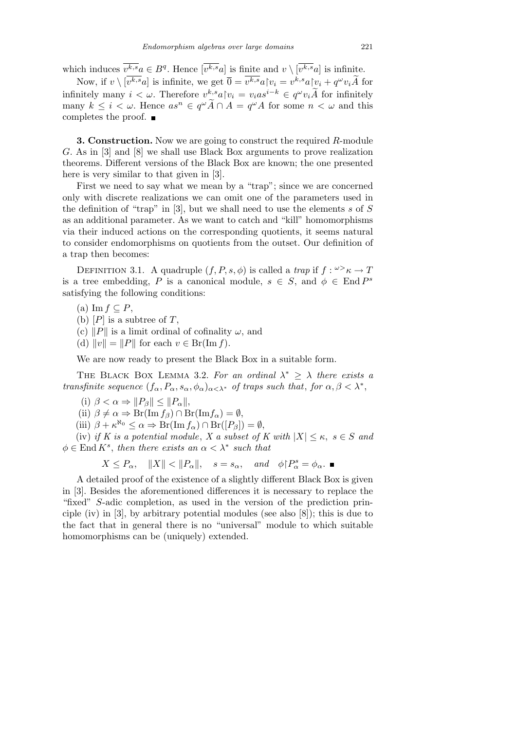which induces  $\overline{v^{k,s}}a \in B^q$ . Hence  $\overline{v^{k,s}}a$  is finite and  $v \setminus \overline{v^{k,s}}a$  is infinite.

Now, if  $v \setminus [\overline{v^{k,s}}a]$  is infinite, we get  $\overline{0} = \overline{v^{k,s}}a[v_i = v^{k,s}a[v_i + q^{\omega}v_i\widetilde{A}]$  for infinitely many  $i < \omega$ . Therefore  $v^{k,s} a \upharpoonright v_i = v_i a s^{i-k} \in q^{\omega} v_i \widetilde{A}$  for infinitely many  $k \leq i < \omega$ . Hence  $as^n \in q^{\omega} \widetilde{A} \cap A = q^{\omega} A$  for some  $n < \omega$  and this completes the proof.

**3. Construction.** Now we are going to construct the required *R*-module *G*. As in [3] and [8] we shall use Black Box arguments to prove realization theorems. Different versions of the Black Box are known; the one presented here is very similar to that given in [3].

First we need to say what we mean by a "trap"; since we are concerned only with discrete realizations we can omit one of the parameters used in the definition of "trap" in [3], but we shall need to use the elements *s* of *S* as an additional parameter. As we want to catch and "kill" homomorphisms via their induced actions on the corresponding quotients, it seems natural to consider endomorphisms on quotients from the outset. Our definition of a trap then becomes:

DEFINITION 3.1. A quadruple  $(f, P, s, \phi)$  is called a *trap* if  $f: \omega > \kappa \to T$ is a tree embedding, *P* is a canonical module,  $s \in S$ , and  $\phi \in \text{End } P^s$ satisfying the following conditions:

- (a) Im *f ⊆ P*,
- (b)  $[P]$  is a subtree of  $T$ ,
- (c)  $||P||$  is a limit ordinal of cofinality  $\omega$ , and
- $(v \in \text{Br}(\text{Im } f)).$

We are now ready to present the Black Box in a suitable form.

THE BLACK BOX LEMMA 3.2. For an ordinal  $\lambda^* \geq \lambda$  there exists a *transfinite sequence*  $(f_{\alpha}, P_{\alpha}, s_{\alpha}, \phi_{\alpha})_{\alpha < \lambda^*}$  *of traps such that, for*  $\alpha, \beta < \lambda^*$ ,

- $(i)$   $\beta < \alpha \Rightarrow ||P_{\beta}|| \leq ||P_{\alpha}||,$
- $(iii)$   $\beta \neq \alpha \Rightarrow \text{Br}(\text{Im } f_{\beta}) \cap \text{Br}(\text{Im } f_{\alpha}) = \emptyset,$

 $(iii)$   $\beta + \kappa^{\aleph_0} \leq \alpha \Rightarrow \text{Br}(\text{Im } f_\alpha) \cap \text{Br}([P_\beta]) = \emptyset,$ 

(iv) *if K* is a potential module, *X* a subset of *K* with  $|X| \leq \kappa$ ,  $s \in S$  and  $\phi \in \text{End } K^s$ , *then there exists an*  $\alpha < \lambda^*$  *such that* 

$$
X \le P_{\alpha}, \quad ||X|| < ||P_{\alpha}||, \quad s = s_{\alpha}, \quad and \quad \phi \upharpoonright P_{\alpha}^{s} = \phi_{\alpha}. \quad \blacksquare
$$

A detailed proof of the existence of a slightly different Black Box is given in [3]. Besides the aforementioned differences it is necessary to replace the "fixed" *S*-adic completion, as used in the version of the prediction principle (iv) in  $[3]$ , by arbitrary potential modules (see also  $[8]$ ); this is due to the fact that in general there is no "universal" module to which suitable homomorphisms can be (uniquely) extended.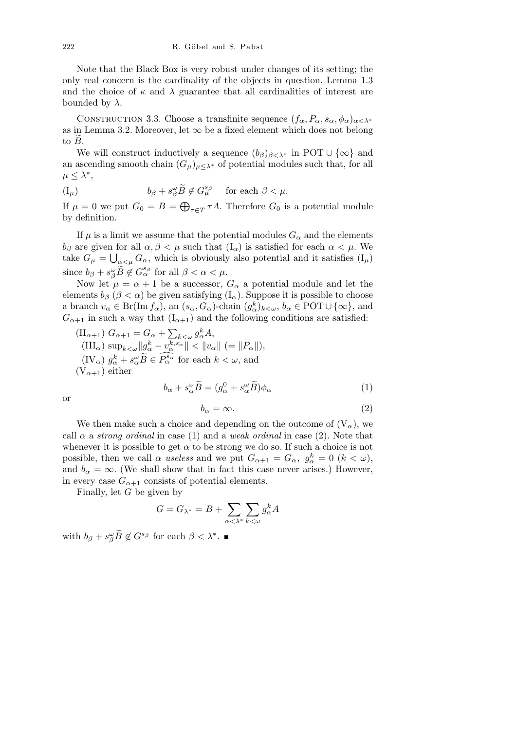Note that the Black Box is very robust under changes of its setting; the only real concern is the cardinality of the objects in question. Lemma 1.3 and the choice of  $\kappa$  and  $\lambda$  guarantee that all cardinalities of interest are bounded by  $\lambda$ .

CONSTRUCTION 3.3. Choose a transfinite sequence  $(f_{\alpha}, P_{\alpha}, s_{\alpha}, \phi_{\alpha})_{\alpha < \lambda^*}$ as in Lemma 3.2. Moreover, let  $\infty$  be a fixed element which does not belong to  $\overline{B}$ .

We will construct inductively a sequence  $(b_{\beta})_{\beta < \lambda^*}$  in POT  $\cup \{\infty\}$  and an ascending smooth chain  $(G_{\mu})_{\mu \leq \lambda^*}$  of potential modules such that, for all  $\mu \leq \lambda^*$ 

$$
(\mathrm{I}_{\mu}) \qquad \qquad b_{\beta} + s^{\omega}_{\beta} \widetilde{B} \notin G_{\mu}^{s_{\beta}} \quad \text{ for each } \beta < \mu.
$$

If  $\mu = 0$  we put  $G_0 = B =$  $\mathbb{R}^2$  $\tau \in T$  *τA*. Therefore  $G_0$  is a potential module by definition.

If  $\mu$  is a limit we assume that the potential modules  $G_{\alpha}$  and the elements *b*<sub>β</sub> are given for all  $\alpha, \beta < \mu$  such that  $(I_{\alpha})$  is satisfied for each  $\alpha < \mu$ . We take  $G_{\mu} = \bigcup_{\alpha < \mu} G_{\alpha}$ , which is obviously also potential and it satisfies  $(I_{\mu})$ since  $b_{\beta} + s_{\beta}^{\omega} \widetilde{B} \notin G_{\alpha}^{s_{\beta}}$  for all  $\beta < \alpha < \mu$ .

Now let  $\mu = \alpha + 1$  be a successor,  $G_{\alpha}$  a potential module and let the elements  $b_\beta$  ( $\beta < \alpha$ ) be given satisfying ( $I_\alpha$ ). Suppose it is possible to choose a branch  $v_{\alpha} \in \text{Br}(\text{Im } f_{\alpha})$ , an  $(s_{\alpha}, G_{\alpha})$ -chain  $(g_{\alpha}^k)_{k \leq \omega}, b_{\alpha} \in \text{POT} \cup \{\infty\}$ , and  $G_{\alpha+1}$  in such a way that  $(I_{\alpha+1})$  and the following conditions are satisfied:

$$
\begin{aligned}\n(\Pi_{\alpha+1}) \ G_{\alpha+1} &= G_{\alpha} + \sum_{k < \omega} g_{\alpha}^k A, \\
(\Pi\Gamma_{\alpha}) \ \sup_{k < \omega} \|g_{\alpha}^k - v_{\alpha}^{k, s_{\alpha}}\| < \|v_{\alpha}\| \ (= \|P_{\alpha}\|), \\
(\Pi\vee_{\alpha}) \ g_{\alpha}^k + s_{\alpha}^{\omega} \widetilde{B} &\in \widetilde{P_{\alpha}^{s_{\alpha}}}\n\end{aligned}
$$
\nfor each  $k < \omega$ , and\n
$$
(\nabla_{\alpha+1}) \text{ either}
$$

$$
b_{\alpha} + s_{\alpha}^{\omega} \widetilde{B} = (g_{\alpha}^{0} + s_{\alpha}^{\omega} \widetilde{B}) \phi_{\alpha}
$$
 (1)

$$
b_{\alpha} = \infty. \tag{2}
$$

We then make such a choice and depending on the outcome of  $(V_{\alpha})$ , we call  $\alpha$  a *strong ordinal* in case (1) and a *weak ordinal* in case (2). Note that whenever it is possible to get  $\alpha$  to be strong we do so. If such a choice is not possible, then we call  $\alpha$  *useless* and we put  $G_{\alpha+1} = G_{\alpha}$ ,  $g_{\alpha}^k = 0$  ( $k < \omega$ ), and  $b_{\alpha} = \infty$ . (We shall show that in fact this case never arises.) However, in every case  $G_{\alpha+1}$  consists of potential elements.

Finally, let *G* be given by

$$
G = G_{\lambda^*} = B + \sum_{\alpha < \lambda^*} \sum_{k < \omega} g_{\alpha}^k A
$$

with  $b_{\beta} + s^{\omega}_{\beta} \widetilde{B} \notin G^{s_{\beta}}$  for each  $\beta < \lambda^*$ .

or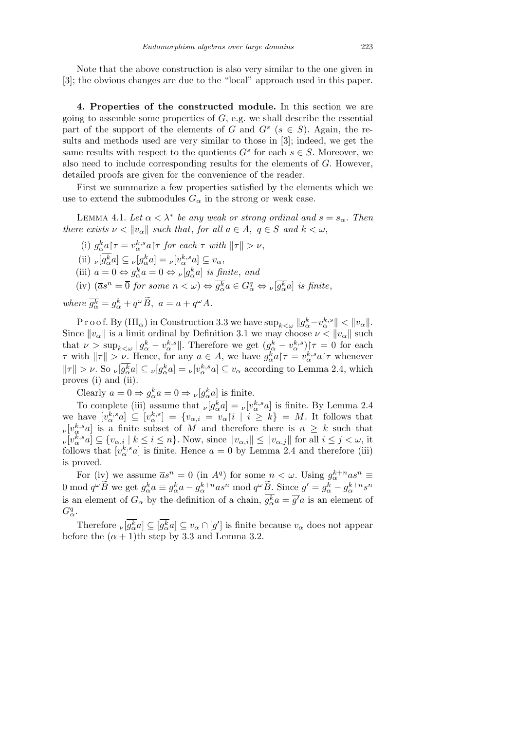Note that the above construction is also very similar to the one given in [3]; the obvious changes are due to the "local" approach used in this paper.

**4. Properties of the constructed module.** In this section we are going to assemble some properties of *G*, e.g. we shall describe the essential part of the support of the elements of *G* and  $G^s$  ( $s \in S$ ). Again, the results and methods used are very similar to those in [3]; indeed, we get the same results with respect to the quotients  $G^s$  for each  $s \in S$ . Moreover, we also need to include corresponding results for the elements of *G*. However, detailed proofs are given for the convenience of the reader.

First we summarize a few properties satisfied by the elements which we use to extend the submodules  $G_{\alpha}$  in the strong or weak case.

LEMMA 4.1. Let  $\alpha < \lambda^*$  be any weak or strong ordinal and  $s = s_\alpha$ . Then *there exists*  $\nu < ||v_{\alpha}||$  *such that, for all*  $a \in A$ ,  $q \in S$  *and*  $k < \omega$ ,

(i)  $g_{\alpha}^{k} a \upharpoonright \tau = v_{\alpha}^{k,s} a \upharpoonright \tau$  *for each*  $\tau$  *with*  $\|\tau\| > \nu$ ,  $(iii)$   $\nu[\overline{g_{\alpha}^k}a] \subseteq \nu[g_{\alpha}^k a] = \nu[v_{\alpha}^{k,s}a] \subseteq v_{\alpha},$ (iii)  $a = 0 \Leftrightarrow g_{\alpha}^{k} a = 0 \Leftrightarrow \nu[g_{\alpha}^{k} a]$  *is finite*, *and*  $(iv)$   $(\overline{a}s^n = \overline{0}$  *for some*  $n < \omega) \Leftrightarrow \overline{g_{\alpha}^k}a \in G_{\alpha}^q \Leftrightarrow \nu[\overline{g_{\alpha}^k}a]$  *is finite*,

 $where \ \overline{g_{\alpha}^{k}} = g_{\alpha}^{k} + q^{\omega} \widetilde{B}, \ \overline{a} = a + q^{\omega} A.$ 

 $\Pr{\text{root}}$ . By  $(\text{III}_{\alpha})$  in Construction 3.3 we have  $\sup_{k<\omega}||g_{\alpha}^k - v_{\alpha}^{k,s}|| < ||v_{\alpha}||$ . Since  $\|v_\alpha\|$  is a limit ordinal by Definition 3.1 we may choose  $\nu < \|v_\alpha\|$  such that  $\nu > \sup_{k \le \omega} ||g_{\alpha}^k - v_{\alpha}^{k,s}||$ . Therefore we get  $(g_{\alpha}^k - v_{\alpha}^{k,s})$   $\tau = 0$  for each *τ* with  $||\tau|| > \nu$ . Hence, for any  $a \in A$ , we have  $g_{\alpha}^k a \upharpoonright \tau = v_{\alpha}^{k,s} a \upharpoonright \tau$  whenever  $\|\tau\| > \nu$ . So  $\nu[g_{\alpha}^{\overline{k}}a] \subseteq \nu[g_{\alpha}^{\overline{k}}a] = \nu[v_{\alpha}^{k,s}a] \subseteq v_{\alpha}$  according to Lemma 2.4, which proves (i) and (ii).

Clearly  $a = 0 \Rightarrow g_{\alpha}^{k} a = 0 \Rightarrow \nu[g_{\alpha}^{k} a]$  is finite.

To complete (iii) assume that  $\nu[g_{\alpha}^k a] = \nu[v_{\alpha}^{k,s} a]$  is finite. By Lemma 2.4 we have  $[v_{\alpha}^{k,s}a] \subseteq [v_{\alpha}^{k,s}] = \{v_{\alpha,i} = v_{\alpha} | i \mid i \geq k\} = M$ . It follows that  $\nu[v_{\alpha}^{k,s}a]$  is a finite subset of *M* and therefore there is  $n \geq k$  such that  $[v_v[v_\alpha^{k,s}a] \subseteq \{v_{\alpha,i} \mid k \leq i \leq n\}$ . Now, since  $||v_{\alpha,i}|| \leq ||v_{\alpha,j}||$  for all  $i \leq j < \omega$ , it follows that  $[v_{\alpha}^{k,s}a]$  is finite. Hence  $a=0$  by Lemma 2.4 and therefore (iii) is proved.

For (iv) we assume  $\bar{a}s^n = 0$  (in  $A^q$ ) for some  $n < \omega$ . Using  $g_{\alpha}^{k+n} a s^n \equiv$ 0 mod  $q^{\omega}\widetilde{B}$  we get  $g_{\alpha}^{k}a \equiv g_{\alpha}^{k}a - g_{\alpha}^{k+n}as^{n}$  mod  $q^{\omega}\widetilde{B}$ . Since  $g' = g_{\alpha}^{k} - g_{\alpha}^{k+n}s^{n}$ is an element of  $G_{\alpha}$  by the definition of a chain,  $g_{\alpha}^{k}a = \overline{g'}a$  is an element of *G<sup>q</sup> α*.

Therefore  $\nu \overline{g_{\alpha}^k} a \leq \overline{g_{\alpha}^k} a \leq v_{\alpha} \cap [g']$  is finite because  $v_{\alpha}$  does not appear before the  $(\alpha + 1)$ <sup>th</sup> step by 3.3 and Lemma 3.2.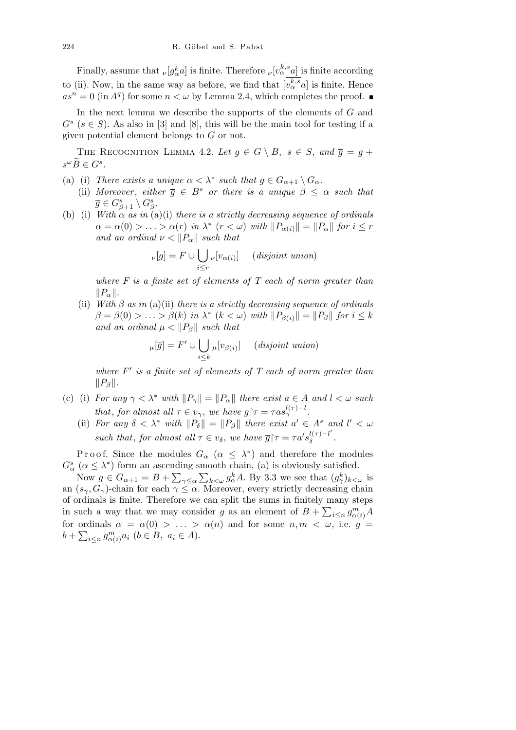Finally, assume that  $\sqrt{g_{\alpha}^k}a$  is finite. Therefore  $\nu[v_{\alpha}^{k,s}a]$  is finite according to (ii). Now, in the same way as before, we find that  $[v_\alpha^{k,s}a]$  is finite. Hence  $as^n = 0$  (in  $A^q$ ) for some  $n < \omega$  by Lemma 2.4, which completes the proof.

In the next lemma we describe the supports of the elements of *G* and  $G<sup>s</sup>$  ( $s \in S$ ). As also in [3] and [8], this will be the main tool for testing if a given potential element belongs to *G* or not.

THE RECOGNITION LEMMA 4.2. Let  $g \in G \setminus B$ ,  $s \in S$ , and  $\overline{g} = g +$  $s^{\omega} \widetilde{B} \in G^s$ .

- (a) (i) *There exists a unique*  $\alpha < \lambda^*$  *such that*  $g \in G_{\alpha+1} \setminus G_{\alpha}$ *.*
- (ii) *Moreover*, *either*  $\overline{g} \in B^s$  *or there is a unique*  $\beta \leq \alpha$  *such that*  $\overline{g} \in G_{\beta+1}^s \setminus G_{\beta}^s$ .
- (b) (i) *With*  $\alpha$  *as in* (a)(i) *there is a strictly decreasing sequence of ordinals*  $\alpha = \alpha(0) > \ldots > \alpha(r)$  *in*  $\lambda^*$  ( $r < \omega$ ) *with*  $||P_{\alpha(i)}|| = ||P_{\alpha}||$  *for*  $i \leq r$ *and an ordinal*  $\nu < ||P_{\alpha}||$  *such that*

$$
\nu[g] = F \cup \bigcup_{i \leq r} \nu[v_{\alpha(i)}] \quad (disjoint\ union)
$$

*where F is a finite set of elements of T each of norm greater than*  $||P_\alpha||$ *.* 

(ii) *With β as in* (a)(ii) *there is a strictly decreasing sequence of ordinals*  $\beta = \beta(0) > ... > \beta(k)$  *in*  $\lambda^*$  ( $k < \omega$ ) *with*  $||P_{\beta(i)}|| = ||P_{\beta}||$  *for*  $i \leq k$ *and an ordinal*  $\mu < ||P_{\beta}||$  *such that* 

$$
\mu[\overline{g}] = F' \cup \bigcup_{i \leq k} \mu[v_{\beta(i)}] \quad (disjoint\ union)
$$

where  $F'$  is a finite set of elements of  $T$  each of norm greater than  $||P_{\beta}||.$ 

- (c) (i) *For any*  $\gamma < \lambda^*$  *with*  $||P_{\gamma}|| = ||P_{\alpha}||$  *there exist*  $a \in A$  *and*  $l < \omega$  *such that, for almost all*  $\tau \in v_{\gamma}$ , *we have*  $g \upharpoonright \tau = \tau a s_{\gamma}^{l(\tau)-l}$ .
	- (ii) *For any*  $\delta < \lambda^*$  *with*  $||P_{\delta}|| = ||P_{\beta}||$  *there exist*  $a' \in A^s$  *and*  $l' < \omega$ *such that, for almost all*  $\tau \in v_{\delta}$ *, we have*  $\overline{g}$  $\tau = \tau a' s_{\delta}^{l(\tau)-l'}$ *δ .*

Proof. Since the modules  $G_{\alpha}$  ( $\alpha \leq \lambda^*$ ) and therefore the modules  $G^s_\alpha$  ( $\alpha \leq \lambda^*$ ) form an ascending smooth chain, (a) is obviously satisfied.

Now  $g \in G_{\alpha+1} = B + \sum_{\gamma \leq \alpha} \sum_{k \leq \omega} g_{\alpha}^k A$ . By 3.3 we see that  $(g_{\gamma}^k)_{k \leq \omega}$  is an  $(s_{\gamma}, G_{\gamma})$ -chain for each  $\gamma \leq \alpha$ . Moreover, every strictly decreasing chain of ordinals is finite. Therefore we can split the sums in finitely many steps P in such a way that we may consider *g* as an element of  $B + \sum_{i \leq n} g_{\alpha(i)}^m A$ for ordinals  $\alpha = \alpha(0) > \ldots > \alpha(n)$  and for some  $n, m < \omega$ , i.e.  $g =$  $b + \sum_{i \leq n} g_{\alpha(i)}^m a_i \ (b \in B, \ a_i \in A).$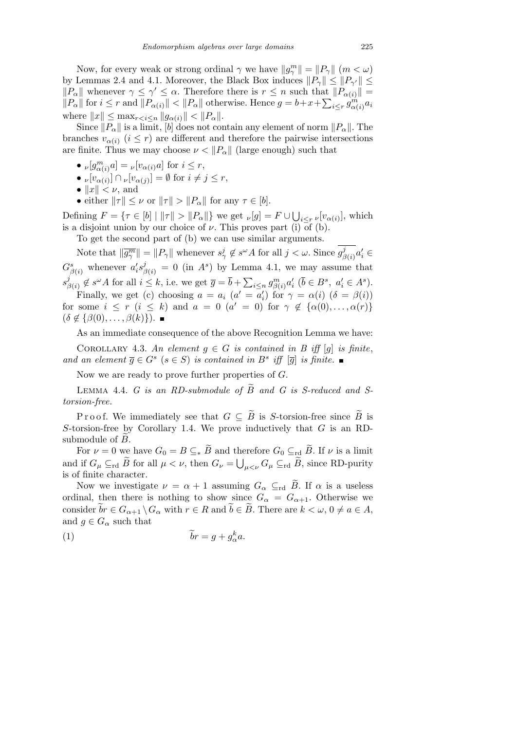Now, for every weak or strong ordinal  $\gamma$  we have  $||g_{\gamma}^{m}|| = ||P_{\gamma}||$  ( $m < \omega$ ) by Lemmas 2.4 and 4.1. Moreover, the Black Box induces  $||P_\gamma|| \le ||P_{\gamma'}|| \le$  $\|P_{\alpha}\|$  whenever  $\gamma \leq \gamma' \leq \alpha$ . Therefore there is  $r \leq n$  such that  $\|P_{\alpha(i)}\| =$  $||P_{\alpha}||$  for  $i \leq r$  and  $||P_{\alpha(i)}|| < ||P_{\alpha}||$  otherwise. Hence  $g = b + x + \sum_{i \leq r} g_{\alpha(i)}^m a_i$  $\text{where } ||x|| \leq \max_{r < i \leq n} ||g_{\alpha(i)}|| < ||P_{\alpha}||.$ 

Since  $||P_\alpha||$  is a limit,  $|b|$  does not contain any element of norm  $||P_\alpha||$ . The branches  $v_{\alpha(i)}$  ( $i \leq r$ ) are different and therefore the pairwise intersections are finite. Thus we may choose  $\nu < ||P_\alpha||$  (large enough) such that

- $\nu[g_{\alpha(i)}^m a] = \nu[v_{\alpha(i)} a]$  for  $i \leq r$ ,
- $\bullet$  *ν*[*v<sub>α</sub>*(*i*)]  $\cap$  *ν*[*v<sub>α</sub>*(*j*)] =  $\emptyset$  for  $i \neq j \leq r$ ,
- $||x|| < \nu$ , and
- either  $||\tau|| \leq \nu$  or  $||\tau|| > ||P_{\alpha}||$  for any  $\tau \in [b]$ .

 $\text{Defining } F = \{ \tau \in [b] \mid ||\tau|| > ||P_{\alpha}|| \} \text{ we get } \nu[g] = F \cup$ S  $i \leq r \nu[v_{\alpha(i)}],$  which is a disjoint union by our choice of  $\nu$ . This proves part (i) of (b).

To get the second part of (b) we can use similar arguments.

Note that  $\|\overline{g_{\gamma}^{m}}\| = \|P_{\gamma}\|$  whenever  $s_{\gamma}^{j} \notin s^{\omega}A$  for all  $j < \omega$ . Since  $g_{\beta}^{j}$ *f*<sub>*β*(*i*</sup>)</sub> $a'_i$  ∈  $G_{\beta(i)}^s$  whenever  $a_i^{\prime} s_{\beta(i)}^j = 0$  (in  $A^s$ ) by Lemma 4.1, we may assume that *s j*  $\overline{B}_{\beta(i)}^j \notin s^{\omega}A$  for all  $i \leq k$ , i.e. we get  $\overline{g} = \overline{b} + \sum_{i \leq n} g_{\beta(i)}^m a'_i$  ( $\overline{b} \in B^s$ ,  $a'_i \in A^s$ ).  $\overline{ }$ 

Finally, we get (c) choosing  $a = a_i$  ( $a' = a'_i$ ) for  $\gamma = \alpha(i)$  ( $\delta = \beta(i)$ ) for some  $i \leq r$   $(i \leq k)$  and  $a = 0$   $(a' = 0)$  for  $\gamma \notin {\alpha(0), \ldots, \alpha(r)}$  $(\delta \notin {\beta(0), \ldots, \beta(k)}).$ 

As an immediate consequence of the above Recognition Lemma we have:

COROLLARY 4.3. An element  $g \in G$  is contained in B iff  $[g]$  is finite, *and an element*  $\overline{g} \in G^s$  ( $s \in S$ ) *is contained in*  $B^s$  *iff*  $[\overline{g}]$  *is finite.* 

Now we are ready to prove further properties of *G*.

LEMMA 4.4. *G is an RD-submodule of*  $\widetilde{B}$  and *G is S-reduced and Storsion-free.*

P r o o f. We immediately see that  $G \subseteq \widetilde{B}$  is *S*-torsion-free since  $\widetilde{B}$  is *S*-torsion-free by Corollary 1.4. We prove inductively that *G* is an RDsubmodule of  $\overline{B}$ .

For  $\nu = 0$  we have  $G_0 = B \subseteq_* \widetilde{B}$  and therefore  $G_0 \subseteq_{\text{rd}} \widetilde{B}$ . If  $\nu$  is a limit and if  $G_{\mu} \subseteq_{\text{rd}} \tilde{B}$  for all  $\mu < \nu$ , then  $G_{\nu} = \bigcup_{\mu < \nu} G_{\mu} \subseteq_{\text{rd}} \tilde{B}$ , since RD-purity is of finite character.

Now we investigate  $\nu = \alpha + 1$  assuming  $G_{\alpha} \subseteq_{\text{rd}} \tilde{B}$ . If  $\alpha$  is a useless ordinal, then there is nothing to show since  $G_{\alpha} = G_{\alpha+1}$ . Otherwise we consider  $\widetilde{b}r \in G_{\alpha+1} \backslash G_{\alpha}$  with  $r \in R$  and  $\widetilde{b} \in \widetilde{B}$ . There are  $k < \omega, 0 \neq a \in A$ , and  $g \in G_\alpha$  such that

$$
\widetilde{b}r = g + g_{\alpha}^k a.
$$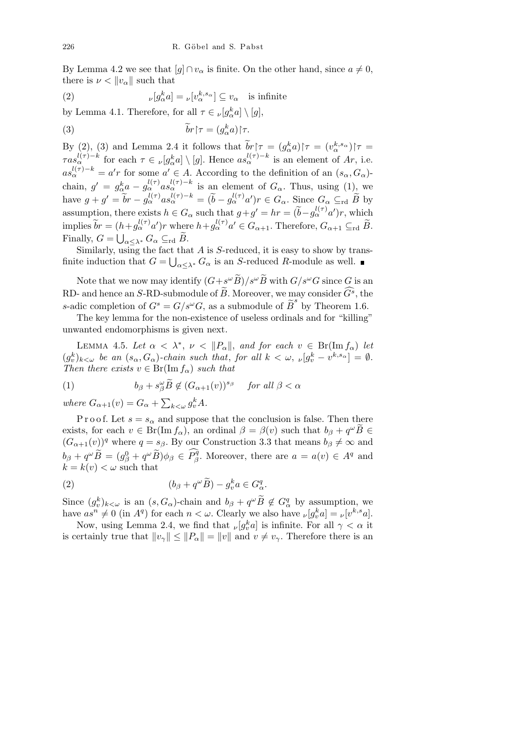By Lemma 4.2 we see that  $[g] \cap v_\alpha$  is finite. On the other hand, since  $a \neq 0$ , there is  $\nu < ||v_{\alpha}||$  such that

(2) 
$$
\nu[g_{\alpha}^{k}a] = \nu[v_{\alpha}^{k,s_{\alpha}}] \subseteq v_{\alpha} \text{ is infinite}
$$

by Lemma 4.1. Therefore, for all  $\tau \in \nu[g_\alpha^k a] \setminus [g]$ ,

(3) 
$$
\widetilde{b}r\upharpoonright\tau = (g_{\alpha}^k a)\upharpoonright\tau.
$$

By (2), (3) and Lemma 2.4 it follows that  $\widetilde{b}r\upharpoonright \tau = (g_{\alpha}^ka)\upharpoonright \tau = (v_{\alpha}^{k,s_{\alpha}})\upharpoonright \tau =$  $\tau as_{\alpha}^{l(\tau)-k}$  for each  $\tau \in \nu[g_{\alpha}^k a] \setminus [g]$ . Hence  $as_{\alpha}^{l(\tau)-k}$  is an element of Ar, i.e.  $as_{\alpha}^{l(\tau)-k} = a'r$  for some  $a' \in A$ . According to the definition of an  $(s_{\alpha}, G_{\alpha})$ chain,  $g' = g_{\alpha}^k a - g_{\alpha}^{l(\tau)} a s_{\alpha}^{l(\tau)-k}$  is an element of  $G_{\alpha}$ . Thus, using (1), we have  $g + g' = \tilde{b}r - g_{\alpha}^{l(\tau)} a s_{\alpha}^{l(\tau)-k} = (\tilde{b} - g_{\alpha}^{l(\tau)} a')r \in G_{\alpha}$ . Since  $G_{\alpha} \subseteq_{\text{rd}} \tilde{B}$  by assumption, there exists  $h \in G_\alpha$  such that  $g + g' = hr = (\tilde{b} - g_\alpha^{l(\tau)} a')r$ , which implies  $\widetilde{b}r = (h + g_{\alpha}^{l(\tau)}a')r$  where  $h + g_{\alpha}^{l(\tau)}a' \in G_{\alpha+1}$ . Therefore,  $G_{\alpha+1} \subseteq_{\text{rd}} \widetilde{B}$ . Finally,  $G = \bigcup_{\alpha \leq \lambda^*} G_{\alpha} \subseteq_{\text{rd}} \tilde{B}.$ 

Similarly, using the fact that  $\overline{A}$  is  $S$ -reduced, it is easy to show by transfinite induction that  $G = \bigcup_{\alpha \leq \lambda^*} G_{\alpha}$  is an *S*-reduced *R*-module as well.

Note that we now may identify  $(G + s^{\omega} \widetilde{B})/s^{\omega} \widetilde{B}$  with  $G/s^{\omega}G$  since *G* is an RD- and hence an *S*-RD-submodule of  $\widetilde{B}$ . Moreover, we may consider  $\widehat{G}^s$ , the *s*-adic completion of  $G^s = G/s^\omega G$ , as a submodule of  $\widetilde{B}^s$  by Theorem 1.6.

The key lemma for the non-existence of useless ordinals and for "killing" unwanted endomorphisms is given next.

LEMMA 4.5. Let  $\alpha < \lambda^*$ ,  $\nu < ||P_{\alpha}||$ , and for each  $v \in Br(Im f_{\alpha})$  let  $(g_v^k)_{k\leq \omega}$  be an  $(s_\alpha, G_\alpha)$ -chain such that, for all  $k < \omega$ ,  $\nu[g_v^k - v^{k,s_\alpha}] = \emptyset$ . *Then there exists*  $v \in Br(Im f_{\alpha})$  *such that* 

(1) 
$$
b_{\beta} + s_{\beta}^{\omega} \widetilde{B} \notin (G_{\alpha+1}(v))^{s_{\beta}} \quad \text{for all } \beta < \alpha
$$

*where*  $G_{\alpha+1}(v) = G_{\alpha} +$  $\overline{ }$  $k < \omega$   $g_v^k A$ .

P r o o f. Let  $s = s_\alpha$  and suppose that the conclusion is false. Then there exists, for each  $v \in \text{Br}(\text{Im } f_{\alpha})$ , an ordinal  $\beta = \beta(v)$  such that  $b_{\beta} + q^{\omega} \widetilde{B} \in$  $(G_{\alpha+1}(v))^q$  where  $q = s_\beta$ . By our Construction 3.3 that means  $b_\beta \neq \infty$  and  $b_{\beta} + q^{\omega} \widetilde{B} = (g_{\beta}^0 + q^{\omega} \widetilde{B}) \phi_{\beta} \in \widehat{P_{\beta}^q}$ . Moreover, there are  $a = a(v) \in A^q$  and  $k = k(v) < \omega$  such that

(2) 
$$
(b_{\beta} + q^{\omega}\widetilde{B}) - g_v^k a \in G_{\alpha}^q.
$$

Since  $(g_v^k)_{k\lt\omega}$  is an  $(s, G_\alpha)$ -chain and  $b_\beta + q^\omega \widetilde{B} \notin G_\alpha^q$  by assumption, we have  $as^n \neq 0$  (in  $A^q$ ) for each  $n < \omega$ . Clearly we also have  $\nu[g_v^k a] = \nu[v^{k,s} a]$ .

Now, using Lemma 2.4, we find that  $\nu[g_v^k a]$  is infinite. For all  $\gamma < \alpha$  it is certainly true that  $||v_\gamma|| \le ||P_\alpha|| = ||v||$  and  $v \ne v_\gamma$ . Therefore there is an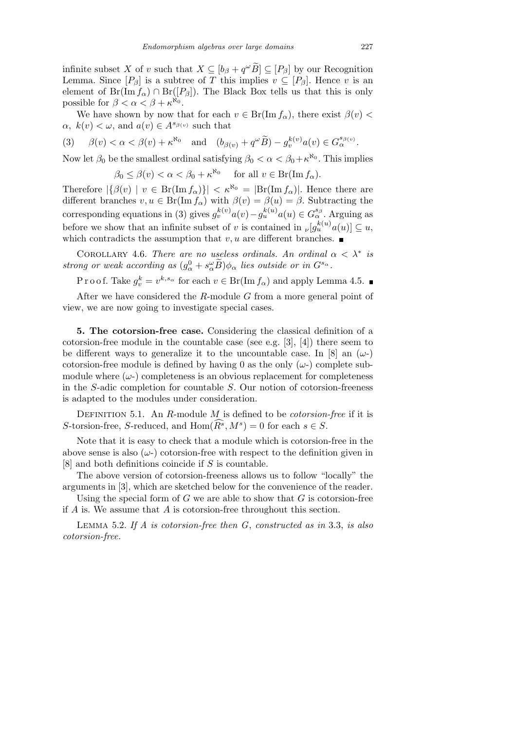infinite subset *X* of *v* such that  $X \subseteq [b_{\beta} + q^{\omega} \tilde{B}] \subseteq [P_{\beta}]$  by our Recognition Lemma. Since  $[P_\beta]$  is a subtree of *T* this implies  $v \subseteq [P_\beta]$ . Hence *v* is an element of  $Br(\text{Im } f_{\alpha}) \cap Br([P_{\beta}])$ . The Black Box tells us that this is only possible for  $\beta < \alpha < \beta + \kappa^{\aleph_0}$ .

We have shown by now that for each  $v \in Br(\text{Im } f_{\alpha})$ , there exist  $\beta(v)$  $\alpha$ ,  $k(v) < \omega$ , and  $a(v) \in A^{s_{\beta(v)}}$  such that

(3) 
$$
\beta(v) < \alpha < \beta(v) + \kappa^{\aleph_0}
$$
 and  $(b_{\beta(v)} + q^{\omega}\widetilde{B}) - g_v^{k(v)}a(v) \in G_{\alpha}^{s_{\beta(v)}}$ .

Now let  $\beta_0$  be the smallest ordinal satisfying  $\beta_0 < \alpha < \beta_0 + \kappa^{\aleph_0}$ . This implies

$$
\beta_0 \le \beta(v) < \alpha < \beta_0 + \kappa^{\aleph_0} \quad \text{for all } v \in \text{Br}(\text{Im}\,f_\alpha).
$$

Therefore  $|\{\beta(v) \mid v \in \text{Br}(\text{Im } f_{\alpha})\}| < \kappa^{\aleph_0} = |\text{Br}(\text{Im } f_{\alpha})|$ . Hence there are different branches  $v, u \in Br(\text{Im } f_{\alpha})$  with  $\beta(v) = \beta(u) = \beta$ . Subtracting the corresponding equations in (3) gives  $g_v^{k(v)} a(v) - g_u^{k(u)} a(u) \in G_\alpha^{s_\beta}$ . Arguing as before we show that an infinite subset of *v* is contained in  $\mu[g_u^{k(u)}a(u)] \subseteq u$ , which contradicts the assumption that  $v, u$  are different branches.  $\blacksquare$ 

COROLLARY 4.6. *There are no useless ordinals. An ordinal*  $\alpha < \lambda^*$  *is strong or weak according as*  $(g_{\alpha}^0 + s_{\alpha}^{\omega} \widetilde{B})\phi_{\alpha}$  *lies outside or in*  $G^{s_{\alpha}}$ .

P r o o f. Take  $g_v^k = v^{k, s_\alpha}$  for each  $v \in Br(\text{Im } f_\alpha)$  and apply Lemma 4.5.

After we have considered the *R*-module *G* from a more general point of view, we are now going to investigate special cases.

**5. The cotorsion-free case.** Considering the classical definition of a cotorsion-free module in the countable case (see e.g.  $[3], [4]$ ) there seem to be different ways to generalize it to the uncountable case. In  $[8]$  an  $(\omega)$ cotorsion-free module is defined by having 0 as the only  $(\omega)$  complete submodule where  $(\omega)$  completeness is an obvious replacement for completeness in the *S*-adic completion for countable *S*. Our notion of cotorsion-freeness is adapted to the modules under consideration.

Definition 5.1. An *R*-module *M* is defined to be *cotorsion-free* if it is *S*-torsion-free, *S*-reduced, and  $\text{Hom}(\widehat{R}^s, M^s) = 0$  for each  $s \in S$ .

Note that it is easy to check that a module which is cotorsion-free in the above sense is also  $(\omega)$  cotorsion-free with respect to the definition given in [8] and both definitions coincide if *S* is countable.

The above version of cotorsion-freeness allows us to follow "locally" the arguments in [3], which are sketched below for the convenience of the reader.

Using the special form of *G* we are able to show that *G* is cotorsion-free if *A* is. We assume that *A* is cotorsion-free throughout this section.

Lemma 5.2. *If A is cotorsion-free then G*, *constructed as in* 3.3, *is also cotorsion-free.*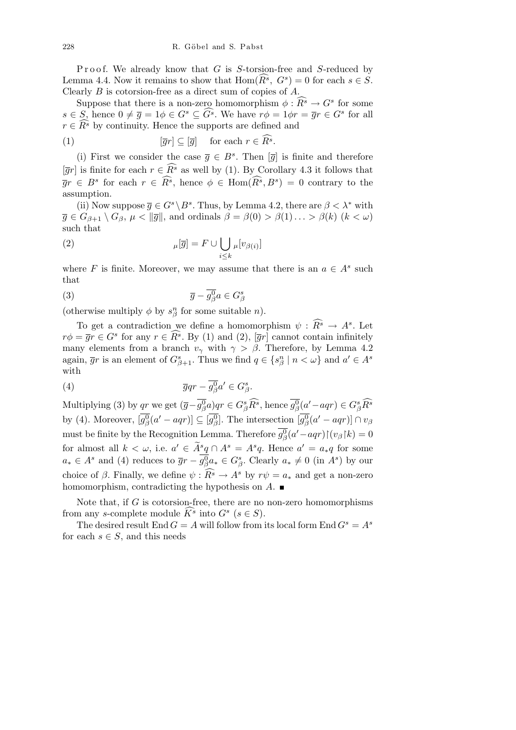Proof. We already know that *G* is *S*-torsion-free and *S*-reduced by Lemma 4.4. Now it remains to show that  $\text{Hom}(\widehat{R}^s, G^s) = 0$  for each  $s \in \mathcal{S}$ . Clearly *B* is cotorsion-free as a direct sum of copies of *A*.

Suppose that there is a non-zero homomorphism  $\phi : \widehat{R^s} \to G^s$  for some  $s \in S$ , hence  $0 \neq \overline{g} = 1 \phi \in G^s \subseteq \widehat{G^s}$ . We have  $r\phi = 1 \phi r = \overline{g}r \in G^s$  for all  $r \in \widehat{R^s}$  by continuity. Hence the supports are defined and

(1) 
$$
[\overline{g}r] \subseteq [\overline{g}] \quad \text{for each } r \in \widehat{R^s}.
$$

(i) First we consider the case  $\overline{g} \in B^s$ . Then  $[\overline{g}]$  is finite and therefore  $[\overline{g}r]$  is finite for each  $r \in \overline{R^s}$  as well by (1). By Corollary 4.3 it follows that  $\overline{g}r \in B^s$  for each  $r \in \widehat{R^s}$ , hence  $\phi \in \text{Hom}(\widehat{R^s}, B^s) = 0$  contrary to the assumption.

(ii) Now suppose  $\overline{g} \in G^s \backslash B^s$ . Thus, by Lemma 4.2, there are  $\beta < \lambda^*$  with  $\overline{g} \in G_{\beta+1} \setminus G_{\beta}, \mu < ||\overline{g}||$ , and ordinals  $\beta = \beta(0) > \beta(1) \ldots > \beta(k)$  ( $k < \omega$ ) such that

(2) 
$$
\mu[\overline{g}] = F \cup \bigcup_{i \leq k} \mu[v_{\beta(i)}]
$$

where *F* is finite. Moreover, we may assume that there is an  $a \in A^s$  such that

$$
\overline{g} - \overline{g^0_\beta} a \in G^s_\beta
$$

(otherwise multiply  $\phi$  by  $s^n_\beta$  for some suitable *n*).

To get a contradiction we define a homomorphism  $\psi : \widehat{R^s} \to A^s$ . Let  $r\phi = \overline{g}r \in G^s$  for any  $r \in \widehat{R^s}$ . By (1) and (2),  $[\overline{g}r]$  cannot contain infinitely many elements from a branch  $v_\gamma$  with  $\gamma > \beta$ . Therefore, by Lemma 4.2 again,  $\overline{g}r$  is an element of  $G_{\beta+1}^s$ . Thus we find  $q \in \{s_\beta^n \mid n < \omega\}$  and  $a' \in A^s$ with

(4) 
$$
\overline{g}qr - \overline{g_{\beta}^{0}}a' \in G_{\beta}^{s}.
$$

Multiplying (3) by qr we get  $(\overline{g}-\overline{g_{\beta}^{0}}a)qr \in G_{\beta}^{s}\widehat{R^{s}}$ , hence  $\overline{g_{\beta}^{0}}(a'-aqr) \in G_{\beta}^{s}\widehat{R^{s}}$ by (4). Moreover,  $[g_{\beta}^{0}(a'-aqr)] \subseteq [g_{\beta}^{0}].$  The intersection  $[g_{\beta}^{0}(a'-aqr)] \cap v_{\beta}$ must be finite by the Recognition Lemma. Therefore  $\overline{g_{\beta}^{0}}(a'-aqr){\upharpoonright}(v_{\beta}\upharpoonright}k) = 0$ for almost all  $k < \omega$ , i.e.  $a' \in \widetilde{A}^s q \cap A^s = A^s q$ . Hence  $a' = a_* q$  for some  $a_* \in A^s$  and (4) reduces to  $\overline{g}r - \overline{g^0_\beta}a_* \in G^s_\beta$ . Clearly  $a_* \neq 0$  (in  $A^s$ ) by our choice of  $\beta$ . Finally, we define  $\psi$ :  $\widehat{R^s} \to A^s$  by  $r\psi = a_*$  and get a non-zero homomorphism, contradicting the hypothesis on *A*.

Note that, if *G* is cotorsion-free, there are no non-zero homomorphisms from any *s*-complete module  $\widehat{K}^s$  into  $G^s$  ( $s \in S$ ).

The desired result End  $G = A$  will follow from its local form End  $G<sup>s</sup> = A<sup>s</sup>$ for each  $s \in S$ , and this needs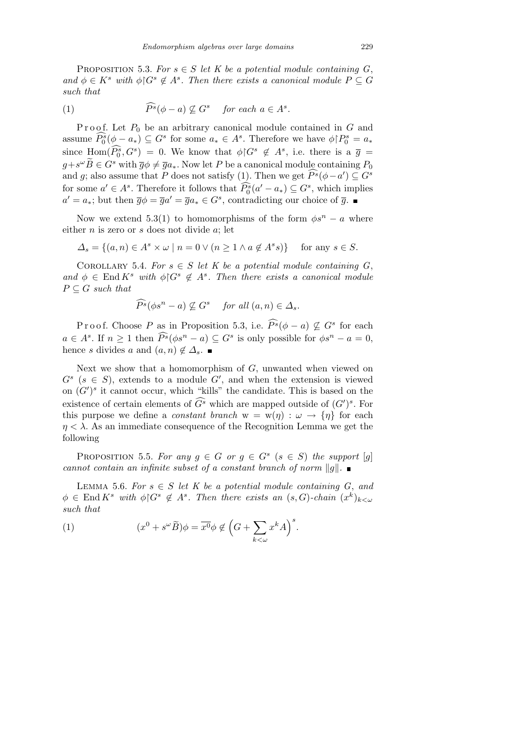PROPOSITION 5.3. For  $s \in S$  let K be a potential module containing G, *and*  $\phi \in K^s$  *with*  $\phi \upharpoonright G^s \notin A^s$ . Then there exists a canonical module  $P \subseteq G$ *such that*

(1) 
$$
\widehat{P^s}(\phi - a) \not\subseteq G^s \quad \text{for each } a \in A^s.
$$

Proof. Let  $P_0$  be an arbitrary canonical module contained in G and assume  $\widehat{P_0^s}(\phi - a_*) \subseteq G^s$  for some  $a_* \in A^s$ . Therefore we have  $\phi \upharpoonright P_0^s = a_*$ since  $\text{Hom}(\widehat{P_0^s}, G^s) = 0$ . We know that  $\phi \nvert G^s \notin A^s$ , i.e. there is a  $\overline{g} =$  $g + s^{\omega} \widetilde{B} \in G^s$  with  $\overline{g} \phi \neq \overline{g} a_*$ . Now let  $P$  be a canonical module containing  $P_0$ and *g*; also assume that *P* does not satisfy (1). Then we get  $\widehat{P}^s(\phi - a') \subseteq G^s$ for some  $a' \in A^s$ . Therefore it follows that  $\widehat{P}_0^s(a' - a_*) \subseteq G^s$ , which implies  $a' = a_*$ ; but then  $\overline{g}\phi = \overline{g}a' = \overline{g}a_* \in G^s$ , contradicting our choice of  $\overline{g}$ .

Now we extend 5.3(1) to homomorphisms of the form  $\phi s^n - a$  where either *n* is zero or *s* does not divide *a*; let

$$
\Delta_s = \{(a, n) \in A^s \times \omega \mid n = 0 \vee (n \ge 1 \wedge a \notin A^s s)\} \text{ for any } s \in S.
$$

COROLLARY 5.4. For  $s \in S$  let K be a potential module containing  $G$ , and  $\phi \in \text{End } K^s$  *with*  $\phi \upharpoonright G^s \notin A^s$ . Then there exists a canonical module  $P \subseteq G$  *such that* 

$$
\widehat{P^s}(\phi s^n - a) \nsubseteq G^s \quad \text{for all } (a, n) \in \Delta_s.
$$

Proof. Choose *P* as in Proposition 5.3, i.e.  $\widehat{P}^s(\phi - a) \nsubseteq G^s$  for each  $a \in A^s$ . If  $n \geq 1$  then  $\widehat{P}^s(\phi s^n - a) \subseteq G^s$  is only possible for  $\phi s^n - a = 0$ , hence *s* divides *a* and  $(a, n) \notin \Delta_s$ .

Next we show that a homomorphism of *G*, unwanted when viewed on  $G^s$  ( $s \in S$ ), extends to a module  $G'$ , and when the extension is viewed on  $(G')^s$  it cannot occur, which "kills" the candidate. This is based on the existence of certain elements of  $\widehat{G}^s$  which are mapped outside of  $(G')^s$ . For this purpose we define a *constant branch*  $w = w(\eta) : \omega \to {\eta}$  for each  $\eta < \lambda$ . As an immediate consequence of the Recognition Lemma we get the following

PROPOSITION 5.5. For any  $g \in G$  or  $g \in G^s$   $(s \in S)$  the support  $[g]$ *cannot contain an infinite subset of a constant branch of norm*  $||g||$ *.* 

LEMMA 5.6. For  $s \in S$  let K be a potential module containing G, and  $\phi \in \text{End } K^s$  *with*  $\phi \upharpoonright G^s \notin A^s$ . Then there exists an  $(s, G)$ -chain  $(x^k)_{k < \omega}$ *such that*

(1) 
$$
(x^{0} + s^{\omega} \widetilde{B})\phi = \overline{x^{0}}\phi \notin (G + \sum_{k < \omega} x^{k} A)^{s}.
$$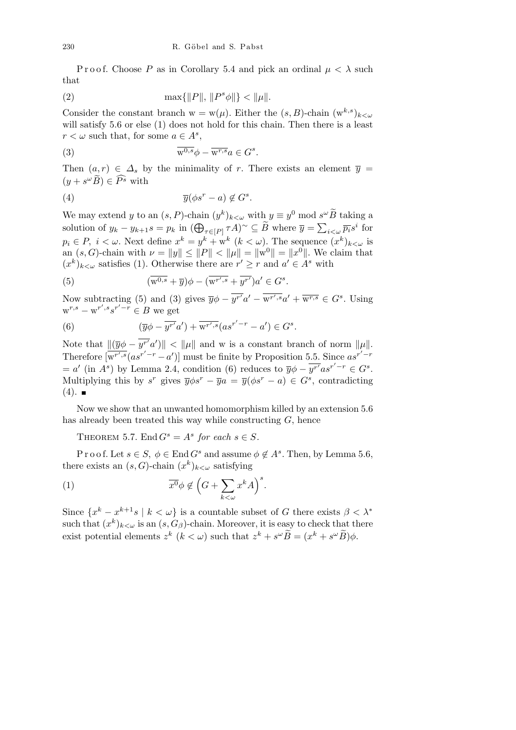Proof. Choose *P* as in Corollary 5.4 and pick an ordinal  $\mu < \lambda$  such that

(2) 
$$
\max\{\|P\|, \|P^s\phi\|\} < \|\mu\|.
$$

Consider the constant branch  $w = w(\mu)$ . Either the  $(s, B)$ -chain  $(w^{k,s})_{k < \omega}$ will satisfy 5.6 or else (1) does not hold for this chain. Then there is a least  $r < \omega$  such that, for some  $a \in A^s$ ,

(3) 
$$
\overline{\mathbf{w}^{0,s}}\phi - \overline{\mathbf{w}^{r,s}}a \in G^s.
$$

Then  $(a, r) \in \Delta_s$  by the minimality of *r*. There exists an element  $\overline{y}$  =  $(y + s^{\omega} \widetilde{B}) \in \widehat{P^s}$  with

(4) 
$$
\overline{y}(\phi s^r - a) \notin G^s.
$$

We may extend *y* to an  $(s, P)$ -chain  $(y^k)_{k < \omega}$  with  $y \equiv y^0 \mod s^{\omega} \widetilde{B}$  taking a solution of  $y_k - y_{k+1} s = p_k$  in  $(\bigoplus_{\tau \in [P]} \tau A)^\sim \subseteq \widetilde{B}$  where  $\overline{y} = \sum$  $i < \omega \overline{p_i} s^i$  for  $p_i \in P$ ,  $i < \omega$ . Next define  $x^k = y^k + w^k$  ( $k < \omega$ ). The sequence  $(x^k)_{k < \omega}$  is an  $(s, G)$ -chain with  $\nu = ||y|| \le ||P|| < ||\mu|| = ||w^0|| = ||x^0||$ . We claim that  $(x^{k})_{k\leq\omega}$  satisfies (1). Otherwise there are  $r' \geq r$  and  $a' \in A^{s}$  with

(5) 
$$
(\overline{\mathbf{w}^{0,s}} + \overline{y})\phi - (\overline{\mathbf{w}^{r',s}} + \overline{y^{r'}})a' \in G^s.
$$

Now subtracting (5) and (3) gives  $\overline{y}\phi - \overline{y^{r'}}a' - \overline{w^{r',s}}a' + \overline{w^{r,s}} \in G^s$ . Using  $w^{r,s} - w^{r',s} s^{r'-r} \in B$  we get

(6) 
$$
(\overline{y}\phi - \overline{y^{r'}}a') + \overline{w^{r',s}}(as^{r'-r} - a') \in G^s.
$$

Note that  $\|(\overline{y}\phi - \overline{y^{r'}}a')\| < \|\mu\|$  and w is a constant branch of norm  $\|\mu\|.$ Therefore  $\overline{w^{r',s}}(as^{r'-r}-a')$ ] must be finite by Proposition 5.5. Since  $as^{r'-r}$  $= a'$  (in *A*<sup>*s*</sup>) by Lemma 2.4, condition (6) reduces to  $\overline{y}\phi - \overline{y^{r'}}as^{r'-r} \in G^s$ . Multiplying this by  $s^r$  gives  $\overline{y}\phi s^r - \overline{y}a = \overline{y}(\phi s^r - a) \in G^s$ , contradicting  $(4).$ 

Now we show that an unwanted homomorphism killed by an extension 5.6 has already been treated this way while constructing *G*, hence

THEOREM 5.7. End  $G^s = A^s$  for each  $s \in S$ .

P r o o f. Let  $s \in S$ ,  $\phi \in$  End  $G^s$  and assume  $\phi \notin A^s$ . Then, by Lemma 5.6, there exists an  $(s, G)$ -chain  $(x^k)_{k < \omega}$  satisfying

(1) 
$$
\overline{x^0} \phi \notin \left(G + \sum_{k < \omega} x^k A\right)^s.
$$

Since  ${x^k - x^{k+1} s \mid k < \omega}$  is a countable subset of *G* there exists  $\beta < \lambda^*$ such that  $(x^k)_{k < \omega}$  is an  $(s, G_\beta)$ -chain. Moreover, it is easy to check that there exist potential elements  $z^k$   $(k < \omega)$  such that  $z^k + s^{\omega} \widetilde{B} = (x^k + s^{\omega} \widetilde{B}) \phi$ .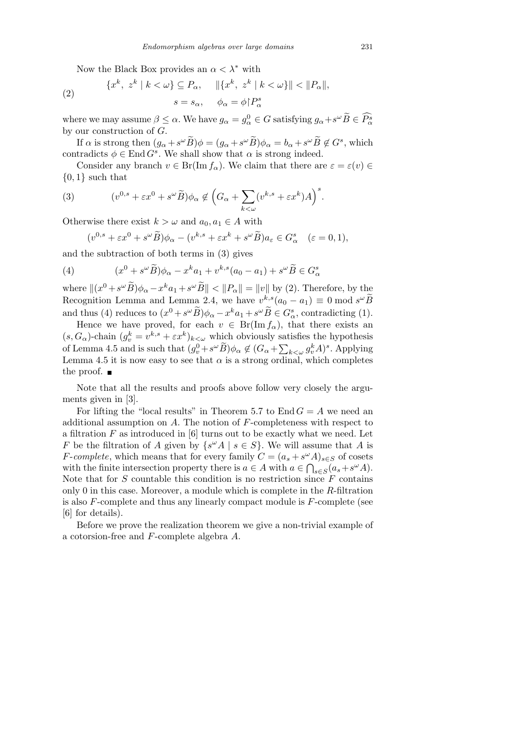Now the Black Box provides an *α < λ<sup>∗</sup>* with

(2) 
$$
\{x^k, z^k \mid k < \omega\} \subseteq P_\alpha, \quad \|\{x^k, z^k \mid k < \omega\}\| < \|P_\alpha\|,
$$

$$
s = s_\alpha, \quad \phi_\alpha = \phi \upharpoonright P_\alpha^s
$$

where we may assume  $\beta \leq \alpha$ . We have  $g_{\alpha} = g_{\alpha}^0 \in G$  satisfying  $g_{\alpha} + s^{\omega} \widetilde{B} \in \widehat{P_{\alpha}^s}$ by our construction of *G*.

If  $\alpha$  is strong then  $(g_{\alpha} + s^{\omega} \tilde{B})\phi = (g_{\alpha} + s^{\omega} \tilde{B})\phi_{\alpha} = b_{\alpha} + s^{\omega} \tilde{B} \notin G^s$ , which contradicts  $\phi \in \text{End } G^s$ . We shall show that  $\alpha$  is strong indeed.

Consider any branch  $v \in Br(\text{Im } f_{\alpha})$ . We claim that there are  $\varepsilon = \varepsilon(v) \in$ *{*0*,* 1*}* such that

(3) 
$$
(v^{0,s} + \varepsilon x^0 + s^{\omega} \widetilde{B})\phi_{\alpha} \notin \left(G_{\alpha} + \sum_{k < \omega} (v^{k,s} + \varepsilon x^k)A\right)^s.
$$

Otherwise there exist  $k > \omega$  and  $a_0, a_1 \in A$  with

$$
(v^{0,s} + \varepsilon x^0 + s^\omega \widetilde{B})\phi_\alpha - (v^{k,s} + \varepsilon x^k + s^\omega \widetilde{B})a_\varepsilon \in G_\alpha^s \quad (\varepsilon = 0, 1),
$$

and the subtraction of both terms in (3) gives

(4) 
$$
(x^{0} + s^{\omega} \widetilde{B})\phi_{\alpha} - x^{k} a_{1} + v^{k,s} (a_{0} - a_{1}) + s^{\omega} \widetilde{B} \in G_{\alpha}^{s}
$$

where  $\|(x^0 + s^{\omega}\widetilde{B})\phi_{\alpha} - x^k a_1 + s^{\omega}\widetilde{B}\| < \|P_{\alpha}\| = \|v\|$  by (2). Therefore, by the Recognition Lemma and Lemma 2.4, we have  $v^{k,s}(a_0 - a_1) \equiv 0 \mod s^{\omega} \widetilde{B}$ and thus (4) reduces to  $(x^0 + s^\omega \widetilde{B})\phi_\alpha - x^k a_1 + s^\omega \widetilde{B} \in G_\alpha^s$ , contradicting (1).

Hence we have proved, for each  $v \in Br(Im f_{\alpha})$ , that there exists an  $(s, G_\alpha)$ -chain  $(g_v^k = v^{k,s} + \varepsilon x^k)_{k < \omega}$  which obviously satisfies the hypothesis of Lemma 4.5 and is such that  $(g_v^0 + s^\omega \widetilde{B})\phi_\alpha \notin (G_\alpha + \sum$  $\int_{k < \omega} g_v^k A$ <sup>2</sup>, Applying Lemma 4.5 it is now easy to see that  $\alpha$  is a strong ordinal, which completes the proof.  $\blacksquare$ 

Note that all the results and proofs above follow very closely the arguments given in [3].

For lifting the "local results" in Theorem 5.7 to End  $G = A$  we need an additional assumption on *A*. The notion of *F*-completeness with respect to a filtration *F* as introduced in [6] turns out to be exactly what we need. Let *F* be the filtration of *A* given by  $\{s^{\omega}A \mid s \in S\}$ . We will assume that *A* is *F*-*complete*, which means that for every family  $C = (a_s + s^{\omega}A)_{s \in S}$  of cosets with the finite intersection property there is  $a \in A$  with  $a \in \bigcap_{s \in S} (a_s + s^{\omega} A)$ . Note that for *S* countable this condition is no restriction since *F* contains only 0 in this case. Moreover, a module which is complete in the *R*-filtration is also *F*-complete and thus any linearly compact module is *F*-complete (see [6] for details).

Before we prove the realization theorem we give a non-trivial example of a cotorsion-free and *F*-complete algebra *A*.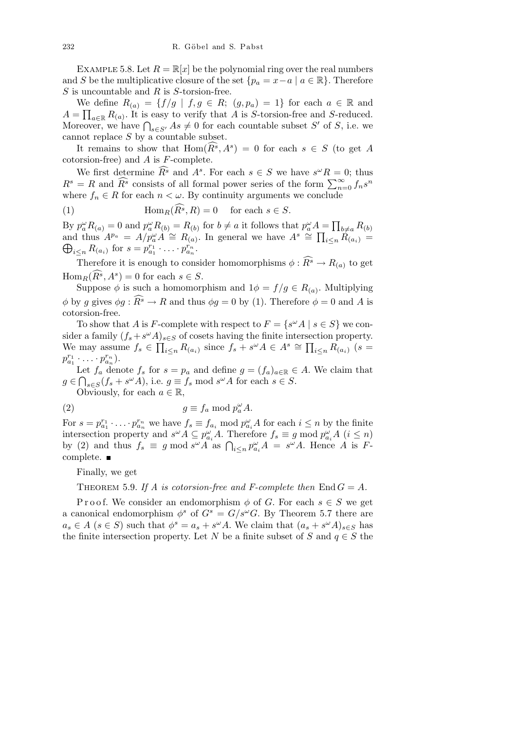EXAMPLE 5.8. Let  $R = \mathbb{R}[x]$  be the polynomial ring over the real numbers and *S* be the multiplicative closure of the set  $\{p_a = x - a \mid a \in \mathbb{R}\}.$  Therefore *S* is uncountable and *R* is *S*-torsion-free.

We define  $R_{(a)} = \{f/g \mid f, g \in R; (g, p_a) = 1\}$  for each  $a \in \mathbb{R}$  and  $A = \prod_{a \in \mathbb{R}} R_{(a)}$ . It is easy to verify that *A* is *S*-torsion-free and *S*-reduced.  $A = \prod_{a \in \mathbb{R}} A_{(a)}$ . It is easy to verify that A is *S*-torsion-free and *S*-reduced.<br>Moreover, we have  $\bigcap_{s \in S'} As \neq 0$  for each countable subset *S'* of *S*, i.e. we cannot replace *S* by a countable subset.

It remains to show that  $\text{Hom}(\widehat{R^s}, A^s) = 0$  for each  $s \in S$  (to get *A* cotorsion-free) and *A* is *F*-complete.

We first determine  $\widehat{R^s}$  and  $A^s$ . For each  $s \in S$  we have  $s^{\omega}R = 0$ ; thus *R*<sup>*s*</sup> = *R* and  $\widehat{R}^s$  consists of all formal power series of the form  $\sum_{n=0}^{\infty} f_n s^n$ where  $f_n \in R$  for each  $n < \omega$ . By continuity arguments we conclude

(1) 
$$
\operatorname{Hom}_R(\widehat{R}^s, R) = 0 \quad \text{for each } s \in S.
$$

By  $p_a^{\omega}R_{(a)} = 0$  and  $p_a^{\omega}R_{(b)} = R_{(b)}$  for  $b \neq a$  it follows that  $p_a^{\omega}A =$  $\overline{a}$  $A = \prod_{b \neq a} R_{(b)}$ and thus  $A^{p_a} = A/p_a^{\omega} A \cong R_{(a)}^{\omega}$ . In general we have  $A^s \cong \prod_{i \leq n} R_{(a_i)} =$ *i*<sub>*s*</sub> *R*(*a<sub>i</sub>*)</sub> for  $s = p_{a_1}^{r_1} \cdot \ldots \cdot p_{a_n}^{r_n}$ .

Therefore it is enough to consider homomorphisms  $\phi : \widehat{R^s} \to R_{(a)}$  to get  $\text{Hom}_{R}(\widehat{R}^s, A^s) = 0$  for each  $s \in S$ .

Suppose  $\phi$  is such a homomorphism and  $1\phi = f/g \in R_{(a)}$ . Multiplying *φ* by *q* gives  $\phi q : \widehat{R^s} \to R$  and thus  $\phi q = 0$  by (1). Therefore  $\phi = 0$  and *A* is cotorsion-free.

To show that *A* is *F*-complete with respect to  $F = \{s^{\omega}A \mid s \in S\}$  we consider a family  $(f_s + s^{\omega}A)_{s \in S}$  of cosets having the finite intersection property. We may assume  $f_s \in \prod_{i \leq n} R_{(a_i)}$  since  $f_s + s^{\omega} A \in A^s \cong \prod_{i \leq n} R_{(a_i)}$   $(s =$  $p_{a_1}^{r_1} \cdot \ldots \cdot p_{a_n}^{r_n}$ ).

Let  $f_a$  denote  $f_s$  for  $s = p_a$  and define  $g = (f_a)_{a \in \mathbb{R}} \in A$ . We claim that  $g \in \bigcap_{s \in S} (f_s + s^{\omega}A)$ , i.e.  $g \equiv f_s \mod s^{\omega}A$  for each  $s \in S$ .

Obviously, for each  $a \in \mathbb{R}$ ,

(2) 
$$
g \equiv f_a \bmod p_a^{\omega} A.
$$

For  $s = p_{a_1}^{r_1} \cdot \ldots \cdot p_{a_n}^{r_n}$  we have  $f_s \equiv f_{a_i} \mod p_{a_i}^{\omega} A$  for each  $i \leq n$  by the finite intersection property and  $s^{\omega}A \subseteq p_{a_i}^{\omega}A$ . Therefore  $f_s \equiv g \mod p_{a_i}^{\omega}A$   $(i \leq n)$ by (2) and thus  $f_s \equiv g \mod s^\omega A$  as  $\bigcap_{i \leq n} p_{a_i}^\omega A = s^\omega A$ . Hence *A* is *F*complete.

Finally, we get

THEOREM 5.9. If A is cotorsion-free and F-complete then  $\text{End } G = A$ .

Proof. We consider an endomorphism  $\phi$  of *G*. For each  $s \in S$  we get a canonical endomorphism  $\phi^s$  of  $G^s = G/s^\omega G$ . By Theorem 5.7 there are  $a_s \in A$  ( $s \in S$ ) such that  $\phi^s = a_s + s^{\omega}A$ . We claim that  $(a_s + s^{\omega}A)_{s \in S}$  has the finite intersection property. Let *N* be a finite subset of *S* and  $q \in S$  the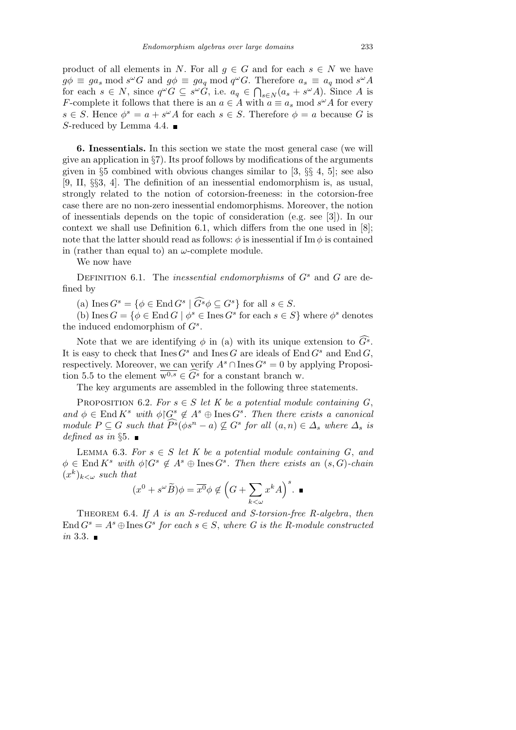product of all elements in *N*. For all  $g \in G$  and for each  $s \in N$  we have  $g\phi \equiv ga_s \mod s^\omega G$  and  $g\phi \equiv ga_q \mod q^\omega G$ . Therefore  $a_s \equiv a_q \mod s^\omega A$  $g\varphi = ga_s \text{ mod } s^- G \text{ and } g\varphi = ga_q \text{ mod } q^- G.$  If for each  $s \in N$ , since  $q^{\omega}G \subseteq s^{\omega}G$ , i.e.  $a_q \in \bigcap$  $s \in N$  (*a*<sub>*s*</sub> + *s*<sup>*ω*</sup>*A*). Since *A* is *F*-complete it follows that there is an  $a \in A$  with  $a \equiv a_s \mod s^\omega A$  for every  $s \in S$ . Hence  $\phi^s = a + s^{\omega}A$  for each  $s \in S$ . Therefore  $\phi = a$  because *G* is *S*-reduced by Lemma 4.4. ■

**6. Inessentials.** In this section we state the most general case (we will give an application in *§*7). Its proof follows by modifications of the arguments given in *§*5 combined with obvious changes similar to [3, *§§* 4, 5]; see also [9, II, *§§*3, 4]. The definition of an inessential endomorphism is, as usual, strongly related to the notion of cotorsion-freeness: in the cotorsion-free case there are no non-zero inessential endomorphisms. Moreover, the notion of inessentials depends on the topic of consideration (e.g. see [3]). In our context we shall use Definition 6.1, which differs from the one used in [8]; note that the latter should read as follows:  $\phi$  is inessential if Im  $\phi$  is contained in (rather than equal to) an *ω*-complete module.

We now have

DEFINITION 6.1. The *inessential endomorphisms* of  $G<sup>s</sup>$  and  $G$  are defined by

(a) Ines  $G^s = \{ \phi \in \text{End } G^s \mid \widehat{G^s} \phi \subseteq G^s \}$  for all  $s \in S$ .

(b) Ines  $G = \{ \phi \in \text{End } G \mid \phi^s \in \text{Ines } G^s \text{ for each } s \in S \}$  where  $\phi^s$  denotes the induced endomorphism of *G<sup>s</sup>* .

Note that we are identifying  $\phi$  in (a) with its unique extension to  $\widehat{G}^s$ . It is easy to check that  $\text{Ines } G^s$  and  $\text{Ines } G$  are ideals of  $\text{End } G^s$  and  $\text{End } G$ , respectively. Moreover, we can verify  $A^s \cap \text{Ines } G^s = 0$  by applying Proposition 5.5 to the element  $\overline{w^{0,s}} \in \widehat{G}^s$  for a constant branch w.

The key arguments are assembled in the following three statements.

PROPOSITION 6.2. *For*  $s \in S$  *let*  $K$  *be a potential module containing G*,  $and \phi \in \text{End } K^s$  *with*  $\phi \nvert G^s \notin A^s \oplus \text{Ines } G^s$ . Then there exists a canonical module  $P \subseteq G$  such that  $\widehat{P^s}(\phi s^n - a) \nsubseteq G^s$  for all  $(a, n) \in \Delta_s$  where  $\Delta_s$  is *defined as in §*5*.*

LEMMA 6.3. For  $s \in S$  let K be a potential module containing G, and  $\phi \in \text{End } K^s$  *with*  $\phi \mid G^s \notin A^s \oplus \text{Ines } G^s$ . Then there exists an  $(s, G)$ -chain  $(x^k)_{k \lt \omega}$  *such that*  $\overline{\phantom{a}}$ *s*

$$
(x^{0} + s^{\omega}\widetilde{B})\phi = \overline{x^{0}}\phi \notin (G + \sum_{k < \omega} x^{k}A)^{s}.
$$

Theorem 6.4. *If A is an S-reduced and S-torsion-free R-algebra*, *then*  $\text{End } G^s = A^s \oplus \text{Ines } G^s$  for each  $s \in S$ , where G is the R-module constructed *in* 3.3*.*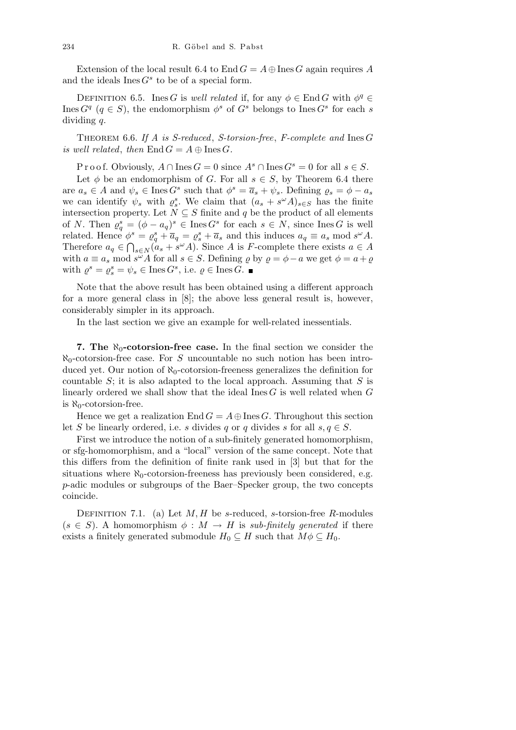Extension of the local result 6.4 to End  $G = A \oplus \text{Ines } G$  again requires A and the ideals  $I$ nes  $G<sup>s</sup>$  to be of a special form.

DEFINITION 6.5. Ines *G* is *well related* if, for any  $\phi \in \text{End } G$  with  $\phi^q \in$ Ines  $G^q$  ( $q \in S$ ), the endomorphism  $\phi^s$  of  $G^s$  belongs to Ines  $G^s$  for each *s* dividing *q*.

Theorem 6.6. *If A is S-reduced*, *S-torsion-free*, *F-complete and* Ines *G is well related, then*  $\text{End } G = A \oplus \text{Ines } G$ .

P r o o f. Obviously,  $A \cap \text{Ines } G = 0$  since  $A^s \cap \text{Ines } G^s = 0$  for all  $s \in S$ . Let  $\phi$  be an endomorphism of *G*. For all  $s \in S$ , by Theorem 6.4 there are  $a_s \in A$  and  $\psi_s \in \text{Ines } G^s$  such that  $\phi^s = \overline{a}_s + \psi_s$ . Defining  $\varrho_s = \phi - a_s$ we can identify  $\psi_s$  with  $\varrho_s^s$ . We claim that  $(a_s + s^{\omega}A)_{s \in S}$  has the finite intersection property. Let  $N \subseteq S$  finite and  $q$  be the product of all elements of *N*. Then  $\varrho_q^s = (\phi - a_q)^s \in \text{Ines } G^s$  for each  $s \in N$ , since Ines *G* is well related. Hence  $\phi^s = \varrho^s_q + \overline{a}_q = \varrho^s_s + \overline{a}_s$  and this induces  $a_q \equiv a_s \mod s^\omega A$ . Therefore  $a_q \in \bigcap_{s \in N} (a_s + s^{\omega}A)$ . Since *A* is *F*-complete there exists  $a \in A$ with  $a \equiv a_s \mod s^\omega A$  for all  $s \in S$ . Defining  $\varrho$  by  $\varrho = \varphi - a$  we get  $\varphi = a + \varrho$ with  $\varrho^s = \varrho^s_s = \psi_s \in \text{Ines } G^s$ , i.e.  $\varrho \in \text{Ines } G$ .

Note that the above result has been obtained using a different approach for a more general class in [8]; the above less general result is, however, considerably simpler in its approach.

In the last section we give an example for well-related inessentials.

**7.** The  $\aleph_0$ -cotorsion-free case. In the final section we consider the  $\aleph_0$ -cotorsion-free case. For *S* uncountable no such notion has been introduced yet. Our notion of  $\aleph_0$ -cotorsion-freeness generalizes the definition for countable *S*; it is also adapted to the local approach. Assuming that *S* is linearly ordered we shall show that the ideal Ines *G* is well related when *G* is *ℵ*0-cotorsion-free.

Hence we get a realization  $\text{End } G = A \oplus \text{Ines } G$ . Throughout this section let *S* be linearly ordered, i.e. *s* divides *q* or *q* divides *s* for all  $s, q \in S$ .

First we introduce the notion of a sub-finitely generated homomorphism, or sfg-homomorphism, and a "local" version of the same concept. Note that this differs from the definition of finite rank used in [3] but that for the situations where  $\aleph_0$ -cotorsion-freeness has previously been considered, e.g. *p*-adic modules or subgroups of the Baer–Specker group, the two concepts coincide.

Definition 7.1. (a) Let *M, H* be *s*-reduced, *s*-torsion-free *R*-modules  $(s \in S)$ . A homomorphism  $\phi : M \to H$  is *sub-finitely generated* if there exists a finitely generated submodule  $H_0 \subseteq H$  such that  $M\phi \subseteq H_0$ .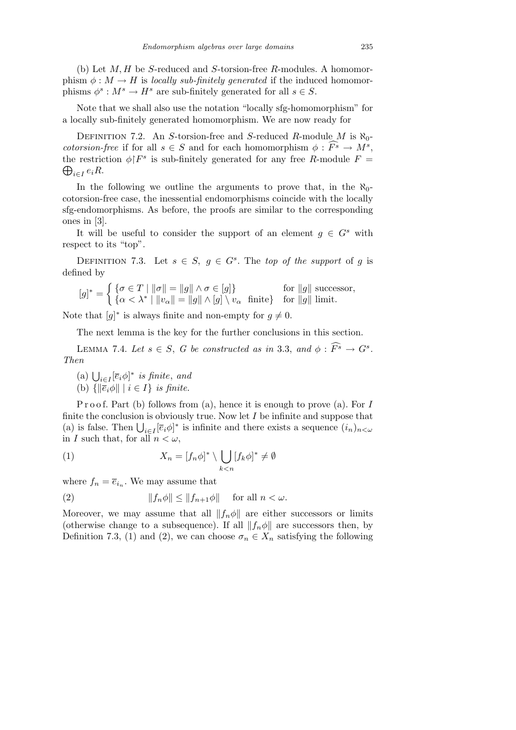(b) Let *M, H* be *S*-reduced and *S*-torsion-free *R*-modules. A homomorphism  $\phi : M \to H$  is *locally sub-finitely generated* if the induced homomorphisms  $\phi^s$ :  $M^s \to H^s$  are sub-finitely generated for all  $s \in S$ .

Note that we shall also use the notation "locally sfg-homomorphism" for a locally sub-finitely generated homomorphism. We are now ready for

Definition 7.2. An *S*-torsion-free and *S*-reduced *R*-module *M* is *ℵ*0 *cotorsion-free* if for all  $s \in S$  and for each homomorphism  $\phi : \widehat{F^s} \to M^s$ , the restriction  $\phi \upharpoonright F^s$  is sub-finitely generated for any free *R*-module  $F =$ *i∈I eiR*.

In the following we outline the arguments to prove that, in the  $\aleph_0$ cotorsion-free case, the inessential endomorphisms coincide with the locally sfg-endomorphisms. As before, the proofs are similar to the corresponding ones in [3].

It will be useful to consider the support of an element  $g \in G^s$  with respect to its "top".

DEFINITION 7.3. Let  $s \in S$ ,  $g \in G^s$ . The *top of the support* of *g* is defined by

$$
[g]^* = \begin{cases} \{\sigma \in T \mid \|\sigma\| = \|g\| \land \sigma \in [g] \} & \text{for } \|g\| \text{ successor,} \\ \{\alpha < \lambda^* \mid \|v_\alpha\| = \|g\| \land [g] \setminus v_\alpha \text{ finite} \} & \text{for } \|g\| \text{ limit.} \end{cases}
$$

Note that  $[g]^*$  is always finite and non-empty for  $g \neq 0$ .

The next lemma is the key for the further conclusions in this section.

LEMMA 7.4. Let  $s \in S$ , G be constructed as in 3.3, and  $\phi : \widehat{F^s} \to G^s$ . *Then*

 $\bigcup_{i \in I} [\overline{e}_i \phi]^*$  *is finite*, *and* (b)  $\{\|\overline{e}_i\phi\| \mid i \in I\}$  *is finite.* 

P r o o f. Part (b) follows from (a), hence it is enough to prove (a). For *I* finite the conclusion is obviously true. Now let *I* be infinite and suppose that finite the conclusion is obviously true. Now let T be immite and suppose that (a) is false. Then  $\bigcup_{i \in I} [\overline{e}_i \phi]^*$  is infinite and there exists a sequence  $(i_n)_{n < \omega}$ in *I* such that, for all  $n < \omega$ ,

(1) 
$$
X_n = [f_n \phi]^* \setminus \bigcup_{k < n} [f_k \phi]^* \neq \emptyset
$$

where  $f_n = \overline{e}_{i_n}$ . We may assume that

(2) 
$$
||f_n\phi|| \le ||f_{n+1}\phi|| \quad \text{for all } n < \omega.
$$

Moreover, we may assume that all  $||f_n\phi||$  are either successors or limits (otherwise change to a subsequence). If all  $||f_n\phi||$  are successors then, by Definition 7.3, (1) and (2), we can choose  $\sigma_n \in X_n$  satisfying the following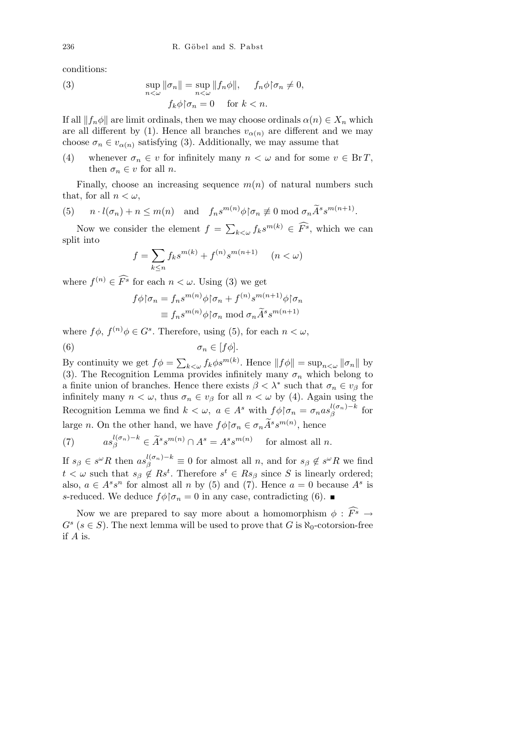conditions:

(3) 
$$
\sup_{n < \omega} \|\sigma_n\| = \sup_{n < \omega} \|f_n \phi\|, \quad f_n \phi \circ \sigma_n \neq 0,
$$

$$
f_k \phi \circ \sigma_n = 0 \quad \text{for } k < n.
$$

If all  $||f_n\phi||$  are limit ordinals, then we may choose ordinals  $\alpha(n) \in X_n$  which are all different by (1). Hence all branches  $v_{\alpha(n)}$  are different and we may choose  $\sigma_n \in v_{\alpha(n)}$  satisfying (3). Additionally, we may assume that

(4) whenever  $\sigma_n \in v$  for infinitely many  $n < \omega$  and for some  $v \in \text{Br } T$ , then  $\sigma_n \in v$  for all *n*.

Finally, choose an increasing sequence  $m(n)$  of natural numbers such that, for all  $n < \omega$ ,

(5) 
$$
n \cdot l(\sigma_n) + n \leq m(n)
$$
 and  $f_n s^{m(n)} \phi \upharpoonright \sigma_n \not\equiv 0 \mod \sigma_n \widetilde{A}^s s^{m(n+1)}$ 

Now we consider the element  $f =$  $f_k \leq \omega$   $f_k s^{m(k)} \in \widehat{F}^s$ , which we can split into

*.*

$$
f = \sum_{k \le n} f_k s^{m(k)} + f^{(n)} s^{m(n+1)} \quad (n < \omega)
$$

where  $f^{(n)} \in \widehat{F}^s$  for each  $n < \omega$ . Using (3) we get

$$
f\phi\upharpoonright \sigma_n = f_n s^{m(n)}\phi\upharpoonright \sigma_n + f^{(n)} s^{m(n+1)}\phi\upharpoonright \sigma_n
$$

$$
\equiv f_n s^{m(n)}\phi\upharpoonright \sigma_n \bmod{\sigma_n} \tilde{A}^s s^{m(n+1)}
$$

where  $f\phi$ ,  $f^{(n)}\phi \in G^s$ . Therefore, using (5), for each  $n < \omega$ ,

$$
\sigma_n \in [f\phi].
$$

By continuity we get  $f\phi =$  $\sum_{k < \omega} f_k \phi s^{m(k)}$ . Hence  $||f\phi|| = \sup_{n < \omega} ||\sigma_n||$  by (3). The Recognition Lemma provides infinitely many  $\sigma_n$  which belong to a finite union of branches. Hence there exists  $\beta < \lambda^*$  such that  $\sigma_n \in v_\beta$  for infinitely many  $n < \omega$ , thus  $\sigma_n \in v_\beta$  for all  $n < \omega$  by (4). Again using the Recognition Lemma we find  $k < \omega$ ,  $a \in A^s$  with  $f \phi | \sigma_n = \sigma_n a s_{\beta}^{l(\sigma_n)-k}$  $\int_{\beta}^{l(\sigma_n)-\kappa}$  for large *n*. On the other hand, we have  $f\phi \upharpoonright \sigma_n \in \sigma_n \widetilde{A}^s s^{m(n)}$ , hence

(7) 
$$
as_{\beta}^{l(\sigma_n)-k} \in \widetilde{A}^s s^{m(n)} \cap A^s = A^s s^{m(n)} \text{ for almost all } n.
$$

If  $s_{\beta} \in s^{\omega}R$  then  $as_{\beta}^{l(\sigma_n)-k} \equiv 0$  for almost all n, and for  $s_{\beta} \notin s^{\omega}R$  we find  $t < \omega$  such that  $s_{\beta} \notin \mathbb{R}$ <sup>*st*</sup>. Therefore  $s^t \in \mathbb{R}$ *s*<sub> $\beta$ </sub> since *S* is linearly ordered; also,  $a \in A^s s^n$  for almost all *n* by (5) and (7). Hence  $a = 0$  because  $A^s$  is *s*-reduced. We deduce  $f \phi | \sigma_n = 0$  in any case, contradicting (6).

Now we are prepared to say more about a homomorphism  $\phi : \widehat{F}^s \to$  $G^s$  ( $s \in S$ ). The next lemma will be used to prove that *G* is  $\aleph_0$ -cotorsion-free if *A* is.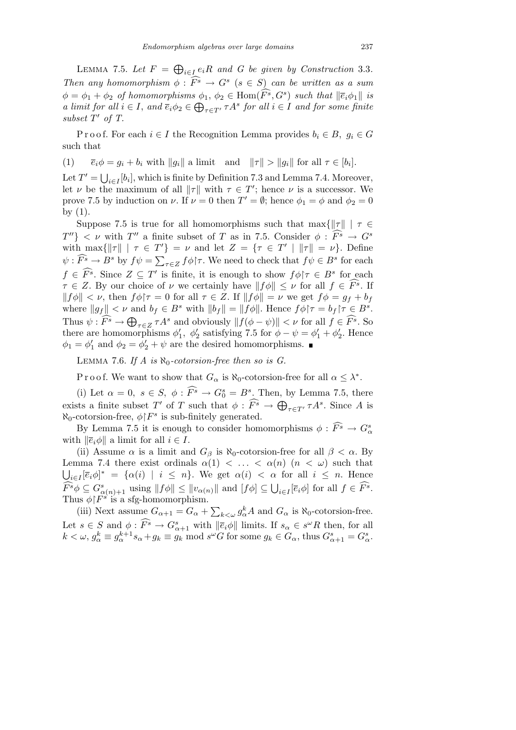LEMMA 7.5. Let  $F =$  $\overline{a}$  $i \in I$  *e*<sub>*i*</sub>*R and G be given by Construction* 3.3*. Then any homomorphism*  $\phi$ :  $\widehat{F^s} \rightarrow G^s$  ( $s \in S$ ) *can be written as a sum*  $\phi = \phi_1 + \phi_2$  *of homomorphisms*  $\phi_1, \phi_2 \in \text{Hom}(\widehat{F^s}, G^s)$  *such that*  $\|\overline{e}_i \phi_1\|$  *is a limit for all*  $i \in I$ , *and*  $\overline{e}_i \phi_2 \in$  $\bigoplus_{\tau \in T'} \tau A^s$  for all  $i \in I$  and for some finite *subset*  $T'$  *of*  $T$ .

Proof. For each  $i \in I$  the Recognition Lemma provides  $b_i \in B$ ,  $g_i \in G$ such that

(1)  $\overline{e}_i \phi = g_i + b_i$  with  $||g_i||$  a limit and  $||\tau|| > ||g_i||$  for all  $\tau \in [b_i]$ .

Let  $T' = \bigcup$  $i \in I$ <sup>[*bi*</sup>], which is finite by Definition 7.3 and Lemma 7.4. Moreover, let *ν* be the maximum of all  $\|\tau\|$  with  $\tau \in T'$ ; hence *ν* is a successor. We prove 7.5 by induction on *ν*. If  $\nu = 0$  then  $T' = \emptyset$ ; hence  $\phi_1 = \phi$  and  $\phi_2 = 0$ by (1).

Suppose 7.5 is true for all homomorphisms such that  $\max\{\|\tau\| \mid \tau \in$  $T''$ }  $\lt \nu$  with *T*<sup>*n*</sup> a finite subset of *T* as in 7.5. Consider  $\phi : \widehat{F^s} \to G^s$ with  $\max\{\|\tau\| \mid \tau \in T'\} = \nu$  and let  $Z = \{\tau \in T' \mid \|\tau\| = \nu\}$ . Define  $\psi: \widehat{F^s} \to B^s$  by  $f\psi = \sum_{\tau \in Z} f\phi \upharpoonright \tau$ . We need to check that  $f\psi \in B^s$  for each  $f \in \widehat{F}^s$ . Since  $Z \subseteq T'$  is finite, it is enough to show  $f\phi$  $\tau \in B^s$  for each  $\tau \in Z$ . By our choice of *ν* we certainly have  $|| f \phi || \leq \nu$  for all  $f \in \widehat{F}^s$ . If  $||f\phi|| < \nu$ , then  $f\phi\uparrow\tau = 0$  for all  $\tau \in Z$ . If  $||f\phi|| = \nu$  we get  $f\phi = g_f + b_f$ where  $||g_f|| < \nu$  and  $b_f \in B^s$  with  $||b_f|| = ||f\phi||$ . Hence  $f\phi | \tau = b_f | \tau \in B^s$ . Thus  $\psi : \widehat{F}^s \to \bigoplus$ *τ*∈*Z*  $\tau A^s$  and obviously  $|| f(\phi - \psi) || < \nu$  for all  $f \in \widehat{F^s}$ . So there are homomorphisms  $\phi'_1$ ,  $\phi'_2$  satisfying 7.5 for  $\phi - \psi = \phi'_1 + \phi'_2$ . Hence  $\phi_1 = \phi'_1$  and  $\phi_2 = \phi'_2 + \psi$  are the desired homomorphisms.

LEMMA 7.6. If A is  $\aleph_0$ -cotorsion-free then so is G.

P r o o f. We want to show that  $G_{\alpha}$  is  $\aleph_0$ -cotorsion-free for all  $\alpha \leq \lambda^*$ .

(i) Let  $\alpha = 0$ ,  $s \in S$ ,  $\phi : \widehat{F^s} \to G_0^s = B^s$ . Then, by Lemma 7.5, there exists a finite subset *T*<sup>*'*</sup> of *T* such that  $\phi : \widehat{F}^s \to \bigoplus_{\tau \in T'} \tau A^s$ . Since *A* is  $\aleph_0$ -cotorsion-free,  $\phi \upharpoonright F^s$  is sub-finitely generated.

By Lemma 7.5 it is enough to consider homomorphisms  $\phi : \widehat{F^s} \to G^s_\alpha$ with  $\|\overline{e}_i\phi\|$  a limit for all  $i \in I$ .

(ii) Assume  $\alpha$  is a limit and  $G_{\beta}$  is  $\aleph_0$ -cotorsion-free for all  $\beta < \alpha$ . By Lemma 7.4 there exist ordinals  $\alpha(1) < \ldots < \alpha(n)$  ( $n < \omega$ ) such that  $i \in I$ [ $\overline{e}_i \phi$ ]<sup>\*</sup> = { $\alpha(i)$  |  $i \leq n$ }. We get  $\alpha(i) < \alpha$  for all  $i \leq n$ . Hence  $\widehat{F^s}\phi \subseteq G^s_{\alpha(n)+1}$  using  $||f\phi|| \le ||v_{\alpha(n)}||$  and  $[f\phi] \subseteq$  $\frac{a}{\cdot}$  $i \in I$ <sup>[ $\overline{e}_i \phi$ ] for all  $f \in \widehat{F}^s$ .</sup> Thus  $\phi \upharpoonright F^s$  is a sfg-homomorphism.  $\overline{ }$ 

(iii) Next assume  $G_{\alpha+1} = G_{\alpha} +$  $a_{k\lt l}$ ,  $g_{\alpha}^k A$  and  $G_{\alpha}$  is  $\aleph_0$ -cotorsion-free. Let  $s \in S$  and  $\phi : \widehat{F}^s \to G^s_{\alpha+1}$  with  $\|\overline{e}_i\phi\|$  limits. If  $s_\alpha \in s^\omega R$  then, for all  $k < \omega, g_{\alpha}^k \equiv g_{\alpha}^{k+1} s_{\alpha} + g_k \equiv g_k \mod s^{\omega}$  for some  $g_k \in G_{\alpha}$ , thus  $G_{\alpha+1}^s = G_{\alpha}^s$ .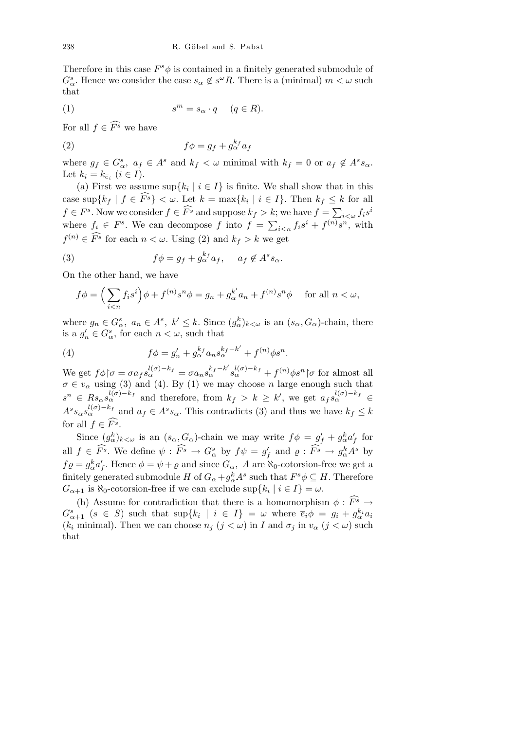Therefore in this case  $F^s \phi$  is contained in a finitely generated submodule of  $G^s_\alpha$ . Hence we consider the case  $s_\alpha \notin s^\omega R$ . There is a (minimal)  $m < \omega$  such that

$$
(1) \t sm = s\alpha \cdot q \t (q \in R).
$$

For all  $f \in \widehat{F}^s$  we have

(2) 
$$
f\phi = g_f + g_\alpha^{k_f} a_f
$$

where  $g_f \in G^s_\alpha$ ,  $a_f \in A^s$  and  $k_f < \omega$  minimal with  $k_f = 0$  or  $a_f \notin A^s s_\alpha$ . Let  $k_i = k_{\overline{e}_i}$   $(i \in I)$ .

(a) First we assume  $\sup\{k_i \mid i \in I\}$  is finite. We shall show that in this case sup ${k_f | f \in \widehat{F}^s} < \omega$ . Let  $k = \max{k_i | i \in I}$ . Then  $k_f \leq k$  for all  $f \in F^s$ . Now we consider  $f \in \widehat{F}^s$  and suppose  $k_f > k$ ; we have  $f = \sum$  $\int_{i<\omega} f_i s^i$ where  $f_i \in F^s$ . We can decompose  $f$  into  $f =$  $\stackrel{\scriptscriptstyle n}{\leftrightsquigarrow}$  $i \leq n$   $f_i s^i + f^{(n)} s^n$ , with  $f^{(n)} \in \widehat{F}^s$  for each  $n < \omega$ . Using (2) and  $k_f > k$  we get

(3) 
$$
f\phi = g_f + g_\alpha^{k_f} a_f, \quad a_f \notin A^s s_\alpha.
$$

On the other hand, we have

$$
f\phi = \left(\sum_{i < n} f_i s^i\right) \phi + f^{(n)} s^n \phi = g_n + g_\alpha^{k'} a_n + f^{(n)} s^n \phi \quad \text{ for all } n < \omega,
$$

where  $g_n \in G_{\alpha}^s$ ,  $a_n \in A^s$ ,  $k' \leq k$ . Since  $(g_{\alpha}^k)_{k < \omega}$  is an  $(s_{\alpha}, G_{\alpha})$ -chain, there is a  $g'_n \in G^s_\alpha$ , for each  $n < \omega$ , such that

(4) 
$$
f\phi = g'_n + g_\alpha^{k_f} a_n s_\alpha^{k_f - k'} + f^{(n)} \phi s^n.
$$

We get  $f\phi | \sigma = \sigma a_f s_\alpha^{l(\sigma)-k_f} = \sigma a_n s_\alpha^{k_f-k'} s_\alpha^{l(\sigma)-k_f} + f^{(n)}\phi s^n | \sigma$  for almost all  $\sigma \in v_{\alpha}$  using (3) and (4). By (1) we may choose *n* large enough such that  $s^n \in \text{Rs}_{\alpha} s_{\alpha}^{l(\sigma)-k_f}$  and therefore, from  $k_f > k \geq k'$ , we get  $a_f s_{\alpha}^{l(\sigma)-k_f} \in$  $A^s s_\alpha s_\alpha^{l(\sigma)-k_f}$  and  $a_f \in A^s s_\alpha$ . This contradicts (3) and thus we have  $k_f \leq k$ for all  $f \in \widehat{F^s}$ .

Since  $(g_{\alpha}^k)_{k<\omega}$  is an  $(s_{\alpha}, G_{\alpha})$ -chain we may write  $f\phi = g'_f + g_{\alpha}^k a'_f$  for all  $f \in \widehat{F^s}$ . We define  $\psi : \widehat{F^s} \to G^s_\alpha$  by  $f\psi = g'_f$  and  $\varrho : \widehat{F^s} \to g^k_\alpha A^s$  by  $f \varrho = g_{\alpha}^{k} a_{f}'$ . Hence  $\phi = \psi + \varrho$  and since  $G_{\alpha}$ , A are  $\aleph_0$ -cotorsion-free we get a finitely generated submodule *H* of  $G_{\alpha} + g_{\alpha}^k A^s$  such that  $F^s \phi \subseteq H$ . Therefore  $G_{\alpha+1}$  is  $\aleph_0$ -cotorsion-free if we can exclude  $\sup\{k_i \mid i \in I\} = \omega$ .

(b) Assume for contradiction that there is a homomorphism  $\phi : \widehat{F^s} \to$  $G_{\alpha+1}^s$   $(s \in S)$  such that  $\sup\{k_i \mid i \in I\} = \omega$  where  $\overline{e}_i \phi = g_i + g_{\alpha}^{k_i} a_i$  $(k_i \text{ minimal})$ . Then we can choose  $n_j$   $(j < \omega)$  in *I* and  $\sigma_j$  in  $v_\alpha$   $(j < \omega)$  such that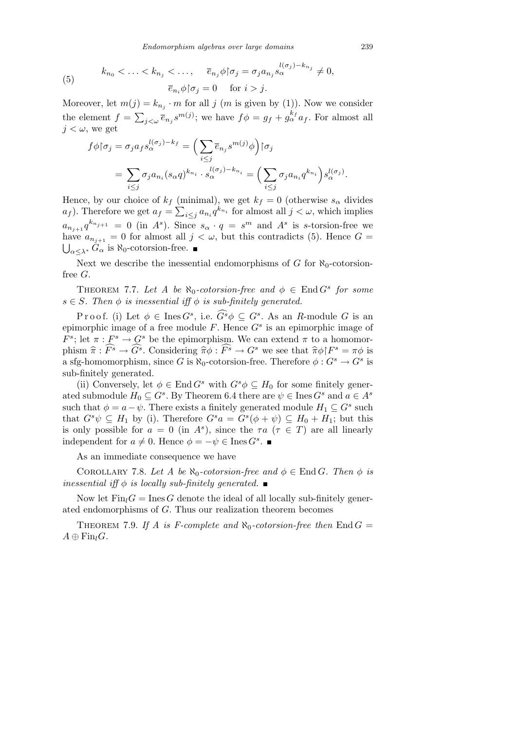*Endomorphism algebras over large domains* 239

(5) 
$$
k_{n_0} < \ldots < k_{n_j} < \ldots, \quad \overline{e}_{n_j} \phi \upharpoonright \sigma_j = \sigma_j a_{n_j} s_{\alpha}^{l(\sigma_j) - k_{n_j}} \neq 0,
$$

$$
\overline{e}_{n_i} \phi \upharpoonright \sigma_j = 0 \quad \text{for } i > j.
$$

Moreover, let  $m(j) = k_{n_j} \cdot m$  for all *j* (*m* is given by (1)). Now we consider the element  $f =$  $\overline{\phantom{a}}$  $j \lt \omega \bar{e}_{n_j} s^{m(j)}$ ; we have  $f \phi = g_f + g_{\alpha}^{k_f} a_f$ . For almost all  $j < \omega$ , we get

$$
f \phi | \sigma_j = \sigma_j a_f s_\alpha^{l(\sigma_j) - k_f} = \left( \sum_{i \le j} \overline{e}_{n_j} s^{m(j)} \phi \right) | \sigma_j
$$
  
= 
$$
\sum_{i \le j} \sigma_j a_{n_i} (s_\alpha q)^{k_{n_i}} \cdot s_\alpha^{l(\sigma_j) - k_{n_i}} = \left( \sum_{i \le j} \sigma_j a_{n_i} q^{k_{n_i}} \right) s_\alpha^{l(\sigma_j)}.
$$

Hence, by our choice of  $k_f$  (minimal), we get  $k_f = 0$  (otherwise  $s_\alpha$  divides *a*<sub>*f*</sub> ). Therefore we get  $a_f = \sum_{i \leq j} a_{n_i} q^{k_{n_i}}$  for almost all  $j < \omega$ , which implies  $a_{n_{j+1}} q^{k_{n_{j+1}}} = 0$  (in *A*<sup>*s*</sup>). Since  $s_{\alpha} \cdot q = s^m$  and *A*<sup>*s*</sup> is *s*-torsion-free we have  $a_{n_{j+1}} = 0$  for almost all  $j < \omega$ , but this contradicts (5). Hence  $G =$  $\bigcup_{\alpha \leq \lambda^*} G_{\alpha}$  is  $\aleph_0$ -cotorsion-free. ■

Next we describe the inessential endomorphisms of  $G$  for  $\aleph_0$ -cotorsionfree *G*.

THEOREM 7.7. Let A be  $\aleph_0$ -cotorsion-free and  $\phi \in \text{End } G^s$  for some  $s \in S$ *. Then*  $\phi$  *is inessential iff*  $\phi$  *is sub-finitely generated.* 

Proof. (i) Let  $\phi \in \text{Ines } G^s$ , i.e.  $\widehat{G^s}\phi \subseteq G^s$ . As an *R*-module *G* is an epimorphic image of a free module *F*. Hence *G<sup>s</sup>* is an epimorphic image of *F*<sup>s</sup>; let  $\pi$  :  $F^s \to G^s$  be the epimorphism. We can extend  $\pi$  to a homomor- $\widehat{\pi}$   $\widehat{\pi}$  :  $\widehat{F}^s \to \widehat{G}^s$ . Considering  $\widehat{\pi}\phi : \widehat{F}^s \to G^s$  we see that  $\widehat{\pi}\phi$   $F^s = \pi\phi$  is a sfg-homomorphism, since *G* is  $\aleph_0$ -cotorsion-free. Therefore  $\phi: G^s \to G^s$  is sub-finitely generated.

(ii) Conversely, let  $\phi \in \text{End } G^s$  with  $G^s \phi \subseteq H_0$  for some finitely generated submodule  $H_0 \subseteq G^s$ . By Theorem 6.4 there are  $\psi \in \text{Ines } G^s$  and  $a \in A^s$ such that  $\phi = a - \psi$ . There exists a finitely generated module  $H_1 \subseteq G^s$  such that  $G^s \psi \subseteq H_1$  by (i). Therefore  $G^s a = G^s(\phi + \psi) \subseteq H_0 + H_1$ ; but this is only possible for  $a = 0$  (in  $A^s$ ), since the  $\tau a$  ( $\tau \in T$ ) are all linearly independent for  $a \neq 0$ . Hence  $\phi = -\psi \in \text{Ines } G^s$ .

As an immediate consequence we have

COROLLARY 7.8. Let A be  $\aleph_0$ -cotorsion-free and  $\phi \in \text{End } G$ . Then  $\phi$  is *inessential iff*  $\phi$  *is locally sub-finitely generated.* 

Now let  $\text{Fin}_l G = \text{Ines } G$  denote the ideal of all locally sub-finitely generated endomorphisms of *G*. Thus our realization theorem becomes

THEOREM 7.9. If A is F-complete and  $\aleph_0$ -cotorsion-free then End  $G =$  $A \oplus \text{Fin}_{l}G$ *.*